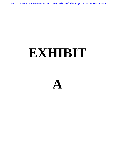Case: 2:22-cv-00773-ALM-ART-BJB Doc #: 180-1 Filed: 04/11/22 Page: 1 of 72 PAGEID #: 5807

# **EXHIBIT**

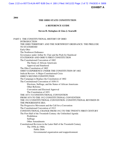# Case: 2:22-cv-00773-ALM-ART-BJB Doc #: 180-1 Filed: 04/11/22 Page: 2 of 72 PAGEID #: 5808 **EXHIBIT A**

**2004** 

# **THE OHIO STATE CONSTITUTION**

### **A REFERENCE GUIDE**

# **Steven H. Steinglass & Gino J. Scarselli**

PART I: THE CONSTITUTIONAL HISTORY OF OHIO INTRODUCTION THE OHIO TERRITORY AND THE NORTHWEST ORDINANCE: THE PRELUDE TO STATEHOOD Early Ohio The Northwest Ordinance Governance under Arthur St. Clair and the Push for Statehood STATEHOOD AND OHIO'S FIRST CONSTITUTION The Constitutional Convention of 1802 The Status of African Americans Approval and Statehood The Ohio Constitution of 1802 OHIO'S EXPERIENCE UNDER THE CONSTITUTION OF 1802 Judicial Review: A Major Constitutional Crisis OHIO'S SECOND CONSTITUTION The Campaign to Replace the Constitution of 1802 The Constitutional Convention of 1850-51 Elections, Suffrage, and the Status of African Americans Other Reforms Convention and Electoral Approval The Constitution of 1851 THE 1873-74 CONSTITUTIONAL CONVENTION FROM 1874 TO THE 1912 CONSTITUTIONAL CONVENTION THE 1912 CONSTITUTIONAL CONVENTION: CONSTITUTIONAL REVISION IN THE PROGRESSIVE ERA The Progressive Movement and the Call for a Convention The Constitutional Convention of 1912 CONSTITUTIONAL CHANGE FROM 1912 TO THE TWENTY-FIRST CENTURY The First Half of the Twentieth Century: the Unfinished Agenda Prohibition Suffrage Other Amendments Constitutional Revision in the Latter Half of the Twentieth Century The 1950s & 1960s Public Debt Governmental organization and reapportionment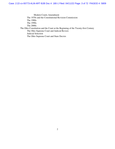Modern Courts Amendment The 1970s and the Constitutional Revision Commission The 1980s The 1990s The 2000s The Ohio Constitution and the Court at the Beginning of the Twenty-first Century The Ohio Supreme Court and Judicial Review Judicial Selection The Ohio Supreme Court and Stare Decisis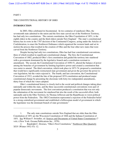### PART I

 $\overline{a}$ 

### THE CONSTITUTIONAL HISTORY OF OHIO

### **INTRODUCTION**

In 2003, Ohio celebrated its bicentennial. In two centuries of statehood, Ohio, the seventeenth state admitted to the union and the first state carved out of the Northwest Territory, has had only two constitutions. The current constitution, the Ohio Constitution of 1851, is the eighth oldest in the country and the third oldest outside New England.<sup>1</sup> The state's constitutional history has its roots in the 1787 decision of the Continental Congress, acting under the Articles of Confederation, to enact the Northwest Ordinance which organized the western lands and set in motion the process that resulted in the creation of Ohio and the four other new states that were carved from the Northwest Territory.

Despite having had only two constitutions, Ohio has had four constitutional conventions, three of which resulted in significant constitutional change. The first, the Constitutional Convention of 1802, produced Ohio's first constitution and guided the territory into statehood with a government dominated by the legislative branch and a constitution resistant to amendment. The second, the Constitutional Convention of 1850-51, altered the balance of power among the branches of government by limiting legislative power and created a constitution that was easier to amend. The third convention, which took place in 1873-74, proposed a constitution that would have significantly restructured state government and given the governor the power to veto legislation, but the voters rejected it. The fourth, and last convention, the Constitutional Convention of 1912, avoided the fate of the proposed 1874 constitution and produced major constitutional change by presenting the electorate with forty-two independent amendments, thirty-four of which the voters adopted.

Ohio's constitutional history is closely tied to the social and political changes taking place nationally and within the state, and the three successful constitutional conventions were part of popular democratic movements. The first convention produced a constitution that was not only the culmination of the movement for statehood but also the result of the successful effort, both nationally and in the Ohio Territory, by Thomas Jefferson and the Republicans to wrest political power from the Federalists. The 1802 Constitution represented a rejection of the Federalist belief in a strong centralized government and established a Jeffersonian model of government in which the legislature was the dominant branch of state government. $<sup>2</sup>$ </sup>

<sup>1.</sup> The only state constitutions outside New England that are older than the Ohio Constitution of 1851 are the Wisconsin Constitution of 1846 and the Indiana Constitution of 1851. See William F. Swindler, ed. Sources and Documents of United States Constitutions (7 vols.) (New York: Oceana Publications Inc., 1978).

<sup>2.</sup> Randolph C. Downes, "Ohio's First Constitution," Northwest Ohio Quarterly XXV (Winter 1952-53): 12.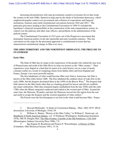Increasing dissatisfaction with state governments created a revisionist fervor that swept the country in the mid-1800s. Spurred in large part by the ideals of Jacksonian democracy, which emphasized popular control over government and a distrust of corporations and financial institutions, fourteen states held constitutional conventions between  $1842$  and  $1853$ .<sup>3</sup> The particular grievances leading to the Constitutional Convention of 1850-51 included the legislature's financial irresponsibility in the construction of the state transportation system, its control over the judiciary and other state officers, and problems in the administration of the judicial system.

The Constitutional Convention of 1912 grew out of the Progressive movement that dominated American politics in the late nineteenth and early twentieth centuries. This last convention set the stage for the piecemeal approach to constitutional revision that has characterized constitutional change in Ohio ever since..

# **THE OHIO TERRITORY AND THE NORTHWEST ORDINANCE: THE PRELUDE TO STATEHOOD**

### **Early Ohio**

 $\overline{a}$ 

The State of Ohio has its origin in the experiences of the people who settled the area west of Pennsylvania and north of the Ohio River in what was known as the "Ohio country." Their experiences were shaped in a land that for much of its early history was in a state of nearly constant conflict as a result of competing claims from Indian tribes and from England and France, Europe's two most powerful nations.

The first inhabitants of what would become Ohio were Native Americans, but little is known of the Ohio tribes before 1600. The Erie inhabited the southern shore of Lake Erie in the early 1600s, but the Iroquois decimated them in the  $1650s$  in the Beaver Wars.<sup>4</sup> The Iroquois had little interest in the Ohio lands other than as a hunting ground for beaver and did not establish any major settlements. Ohio thus remained largely uninhabited from the late 1650s until the early 1700s when the Miami emigrated southward and settled in the western part of Ohio. Around the same time, the Shawnee, Wyandot, and later the Delaware moved into the region from the east and north to escape the Iroquois and the western migration of white settlers.<sup>5</sup>

The French were the first Europeans to set foot in the what would become Ohio. France

<sup>3.</sup> Howard McDonald, "A Study in Constitution Making – Ohio: 1802-1874" (Ph.D. dissertation, University of Michigan, 1916), 59.

<sup>4.</sup> William A. Hunter, "History of the Ohio Valley," in William C. Sturtevant, ed., Handbook of North American Indians, vol. 15 Northeast (Washington: Smithsonian Institution 1978), 588; R. Douglas Hurt, The Ohio Frontier, Crucible of the Old Northwest, 1720-1830 (Bloomington: Indiana University Press 1996), 7-9.

<sup>5.</sup> See Eugene H. Roseboom and Francis P. Weisenburger, A History of Ohio, (Columbus: Ohio Historical Society 1991), 13-16.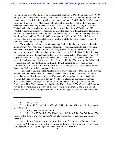based its claim to the Ohio territory on the purported discovery of Ohio by La Salle in  $1669-70$ ,<sup>6</sup> but by the mid-1700s, French, English, and colonial traders could be found throughout Ohio. In an attempt to reestablish alliances with tribes sympathetic to the English, the French-Canadian Cèloron de Bienville in 1749 led an expedition from the Great Lakes to the Ohio River and reclaimed the Ohio country in the name of the Louis XV, King of France.<sup>7</sup> By mid-century England realized the growing importance of the area, and the colony of Virginia in 1750 established the Ohio Company to secure lands along the Ohio River for settlement. Recognizing the growing threat from England, the French armed friendly tribes and with their help drove out the tribes aligned with the English. With the defeat iof "La Demoiselle," the chief of a rebel group of Miami who had negotiated a treaty with the English, the French effectively gained control of the Ohio River valley.<sup>8</sup>

The escalating rivalry over the Ohio country finally led to the outbreak of the French-Indian War in 1754. After almost a decade of fighting, France surrendered most of its North American territories to England in the 1763 Treaty of Paris. In the same year, to protect their interest in the fur trade and to avoid provoking another war with the Indians, the British issued a proclamation limiting white colonial settlement west of the Allegheny Mountains.<sup>9</sup> The 1763 Royal Proclamation was largely unenforceable, but it nonetheless outraged the colonists, especially land speculators and veterans of the French and Indian War to whom the British had promised land as bounty for fighting the French. In fact, the resentment toward Britain's administration and control of the western territories was among the grievances against the British that eventually led to the Declaration of Independence.

The defeat of England in the Revolutionary War gave the United States clear title to what became Ohio, but the area was still subject to the land claims of Indian tribes and of certain states. During the Revolutionary War, the Continental Congress had tried to persuade the colonies that claimed western lands through "sea-to-sea" clauses in their original charters (Connecticut, Massachusetts, and Virginia) or through their relationship with the Iroquois Confederacy (New York) to cede these lands to the United States.<sup>10</sup> The Continental Congress viewed the western lands as a source of income for the new government and as a means of paying the debt incurred during the war, but states did not begin to surrender their claims until

6. Ibid., 18-19.

 $\overline{a}$ 

7. James K. Richard, "Icon of Empire," Timeline (Ohio Historical Society, April-May 1988): 18.

8. Hurt, The Ohio Frontier, 34-39.

9. Beverley W. Bond, Jr., The Foundations of Ohio, vol. I of Carl Wittke, ed., The History of the State of Ohio (Columbus: Ohio State Archaeological and Historical Society, 1941), 174-75.

10. Jack N. Rakove, "Ambiguous Achievement: The Northwest Ordinance," in Frederick D. Williams, ed., The Northwest Ordinance: Essays on Its Formulation, Provisions, and Legacy (East Lansing: Michigan State University Press 1988), 8-9.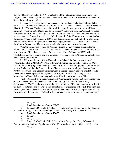they faced bankruptcy in late 1779.<sup>11</sup> Eventually, all the states relinquished their claims, but Virginia and Connecticut, both of which had claims to the western territories north of the Ohio River, did so with reservations.

In January 1781, Virginia offered to cede its western lands under the condition that it reserve a tract of land to compensate Revolutionary War veterans. Congress eventually accepted this offer in 1784, and Virginia reserved four million acres, known as the Virginia Military District, between the Little Miami and Scioto Rivers.<sup>12</sup> Following Virginia, Connecticut ceded its western claims to the national government but, unlike Virginia, retained jurisdiction over its reserved lands.<sup>13</sup> Connecticut retained jurisdiction over its 3.8 million acres in reserved lands on the southern shore of Lake Erie until 1800 when it surrendered jurisdiction to the United States.<sup>14</sup> Settled mostly by New Englanders with strong Congregationalist roots, these lands, known as the Western Reserve, would develop an identity distinct from the rest of the state.<sup>15</sup>

With the elimination of most of Virginia's claims, Congress began planning for the settlement of the northwest. The Land Ordinance of 1785 authorized the survey and sale of land in southeastern Ohio. Two years later, Congress enacted the Ordinance of 1787, which established a territorial government and a process for the admission of Ohio and eventually four other states into the union.

In 1788, a small group of New Englanders established the first permanent, legal settlement in Ohio at Marietta.<sup>16</sup> White settlement, however, had actually begun in the Ohio Territory in the early eighteenth century when many Scottish-Irish immigrants, who first settled in New England, fled to the Quaker colony of Pennsylvania to seek religious freedom from Puritan persecution. The Scottish-Irish migration increased steadily, and settlements began to appear in the western parts of Pennsylvania and Virginia. By the 1780s many western frontiersmen of Scottish-Irish ancestry had moved illegally into what is now Ohio.<sup>17</sup>

The Scottish-Irish from Pennsylvania and Virginia came with strong beliefs in individual freedom and economic independence and were extremely influential in Ohio's early development.<sup>18</sup> The Virginians who settled mostly in southern Ohio were chiefly responsible for the push for statehood and for Ohio's first constitution. The presence of Scottish-Irish squatters, however, created an obstacle for the orderly sale of Ohio lands. In 1785, Congress ordered the army under the direction of Lt. Colonel Josiah Harman to remove the squatters in preparation for

 $\overline{a}$ 

14. Bond, Foundations of Ohio, 454-55.

16. Ibid., 281-83.

17. Robert E. Chaddock, Ohio Before 1850: A Study of the Early Influence of Pennsylvania and Southern Populations in Ohio (New York: Longmans, Green, 1908), 31-33.

18. Ibid., 33.

<sup>11.</sup> Ibid., 10.

<sup>12.</sup> Bond, Foundations of Ohio, 252-53.

<sup>13.</sup> Ibid.; John D. Barnhart, Valley of Democracy: The Frontier versus the Plantation in the Ohio Valley, 1775-1818 (Bloomington: Indiana University Press, 1953), 122-23.

<sup>15.</sup> Ibid., 371.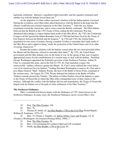legitimate settlement. Harman's expedition failed miserably, and the squatters remained until another war with the Indians forced them out.<sup>19</sup>

As the migration of white settlers increased, relations with the Indian nations worsened. During the revolution, most Ohio tribes allied themselves with the British in the hope that this alliance would prevent colonial expansion in the Ohio Territory.<sup>20</sup> After the war, Indian resentment toward the Americans, and to some extent the British, continued. The Ohio Indians believed that the British in the 1783 Treaty of Paris ending the Revolutionary War had abandoned their pledge to respect Indian lands north of the Ohio River. By 1783, the Continental Congress all but ignored the Indian Boundary Line of 1768 that had been fixed by the Treaty of Fort Stanwix between the British and the Iroquois.<sup>21</sup> In 1784 and 1785, the United States negotiated its own series of treaties forcing a number of tribes to surrender their lands north of the Ohio River and to admit to being "under the protection of the United States and of no other sovereign whatsoever."<sup>22</sup>

Despite the treaties, relations with the Indians soured when the two most powerful tribes, the Miami and the Shawnee, refused to surrender their lands.<sup>23</sup> By 1791, the United States government and the Ohio Indians were on the brink of war. In the spring of that year, Congress appropriated money for the establishment of a western army to deal with the Indians. President George Washington appointed the Federalist governor of the Northwest Territory, Arthur St. Clair, to command this army, and in the Fall of 1791, St. Clair launched a major, but unsuccessful, military offensive against the Miami. St. Clair's army suffered the worst defeat ever of an American force by Indians,<sup>24</sup> leading President Washington to remove St. Clair and to give Major General "Mad" Anthony Wayne, the hero of the Battle of Stony Point, command of the western army. On August 20, 1794, Wayne defeated the Indians at the Battle of Fallen Timbers (outside present day Toledo). The defeat at Fallen Timbers forced the Indians to agree to the Treaty of Greenville in which the Ohio tribes relinquished most of their claims to the territory. Although the conflict with the Indians did not end immediately, the Treaty of Greenville largely took the Indians out of the path of white settlement of the Ohio Territory.<sup>25</sup>

### **The Northwest Ordinance**

 $\overline{a}$ 

Ohio's constitutional history begins with the Ordinance of 1787, better known as the Northwest Ordinance. In many ways, the Northwest Ordinance can be viewed Ohio's first

21. Thomas H. Smith, ed. An Ohio Reader: 1750 to the Civil War (Grand Rapids: William B. Eerdmans, 1975), 67.

22. Ibid., 72; Charles J. Kappler, ed. Indian Affairs: Laws and Treaties*,* vol. II (Treaties) (Washington: Government Printing Office, 1904), 7.

- 23. Hurt, The Ohio Frontier, 96.
- 24. Ibid., 118 (estimating 623 soldiers killed and 258 wounded).
- 25. Smith, An Ohio Reader: 1750 to the Civil, 69.

<sup>19.</sup> Hurt, The Ohio Frontier, 148.

<sup>20.</sup> Ibid., 76.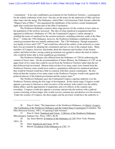"constitution." It not only established a government for the Northwest Territory—a prerequisite for the orderly settlement of the west—but also set the terms for the admission of Ohio and four other states into the union. The Ordinance, which Ohio's first historian Caleb Atwater called the "Magna Carta of Ohio,"<sup>26</sup> also guaranteed the inhabitants of the territory certain fundamental rights that would later become part of the Ohio Constitution.

The Northwest Ordinance created a three-stage process for the creation of new states as the population of the territory increased. The idea of tying statehood to population had first appeared in Jefferson's Ordinance of 1784, the Continental Congress's earlier attempt to establish the terms of statehood for the western territories, including territories south of the Ohio River.<sup>27</sup> Unlike the 1784 Ordinance, however, the Northwest Ordinance established a strong central government that was initially undemocratic. The 1784 Ordinance "though inoperative, was legally in force until 1787"<sup>28</sup> and would have allowed the settlers of the territories to create their own government by adopting the constitution and laws of one of the original states. Many members of Congress, however, had doubts about the character and loyalties of the frontier settlers and believed that a strong central government was needed to attract the kind of settlers who would be better able to form republican governments. $^{29}$ 

The Northwest Ordinance also differed from the Ordinance of 1784 by authorizing the creation of fewer states. On the recommendation of James Monroe, the Ordinance of 1787 set an upper limit of five states that could be carved from the Northwest Territory rather than the ten that Jefferson had envisioned. Monroe believed that if too many states were formed from the Northwest Territory some would never achieve a population sufficient for statehood and those that would be formed would have little in common with their eastern counterparts. He also believed that the creation of too many states in the Northwest Territory would work against the political interests of the federal government and the eastern states.<sup>30</sup>

The Northwest Ordinance gave the Continental Congress supreme authority over the Northwest Territory during the first stage of development. In this initial stage, Congress would appoint a governor to function as chief executive of the territory with control over the militia, Indian affairs, and the appointment of magistrates and civil officers in the counties and townships. Congress would also appoint a secretary and provide the territory with a judicial system consisting of three judges who would exercise common law jurisdiction over the territory. Under the scrutiny of Congress, the three judges and the governor would have the authority to

 $\overline{a}$ 

30. Barrett, Evolution of the Ordinance of 1787, 34.

<sup>26.</sup> Peter S. Onuf, "The Importance of the Northwest Ordinance, in Liberty's Legacy: Our Celebration of the Northwest Ordinance and the United States Constitution (Columbus: The Ohio Historical Society, 1987), 14 (quoting Caleb Atwater).

<sup>27.</sup> Peter S. Onuf, Statehood and Union: A History of the Northwest Ordinance. (Bloomington: Indiana Univ. Press, 1987), 46-49.

<sup>28.</sup> Jay Amos Barrett, Evolution of the Ordinance of 1787 (New York: Putnam, 1891), 26.

<sup>29.</sup> Onuf, Statehood and Union, 49-50.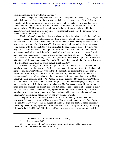adopt criminal and civil laws for the territory. $31$ 

The next stage of development would occur once the population reached 5,000 free, adult male inhabitants. At that point, the territory could elect representatives to a General Assembly consisting of the governor, an elected house of representatives, and a five-member legislative council appointed by Congress from a list of residents nominated by the territorial house of representatives. All bills passed by a majority in the house of representatives and in the legislative council would go to the governor for his assent at which point the governor would have the authority to exercise a veto.  $32$ 

Finally, a "state" would be ready for admission to the union when it reached a population of 60,000 free, adult male inhabitants. Article Five of the Articles of Compact—those sections of the Northwest Ordinance that were an unalterable compact between the original states and the people and new states of the Northwest Territory—promised admission into the union "on an equal footing with the original states" and delineated the boundaries of three to five new states. Any of the "states" that reached the population threshold could form a government and draft a permanent constitution provided that "the constitution and government so to be formed, shall be republican, and in conformity to the principles contained in these articles . . ." Article Five also allowed admission to the union by an act of Congress when there was a population of fewer than 60,000 free, adult male inhabitants. Eventually Ohio and all the states in the Northwest Territory other than Michigan entered the union through enabling  $\arctan^{33}$ 

Besides providing a structure for the government of the Northwest Territory and the promise of statehood, the Northwest Ordinance contained a declaration of specific, fundamental rights. The Northwest Ordinance was, in fact, the first national document to include such a declaration or bill of rights. The Articles of Confederation, under which the Ordinance was enacted, contained no bill of rights, and the adoption of the first ten amendments to the U.S. Constitution did not occur until 1791. Among the rights guaranteed by the Northwest Ordinance in its Articles of Compact were the rights to religious freedom, habeas corpus, trial by jury, due process, and reasonable bail (except in capital cases). The Ordinance also prohibited excessive fines, cruel and unusual punishment, and laws that impaired the obligation of contracts. Finally, the Ordinance included a clause encouraging schools and the means of education, a provision promising respect and fair treatment towards the Indians (which was generally ignored), and significantly, a prohibition against slavery and involuntary servitude.

The prohibition against slavery as well as other individual rights contained in the Northwest Ordinance's Articles of Compact were "forever remain unalterable." This effort to bind the states, however, became the subject of an intense legal and political debate especially concerning the continuing legal effect of the Northwest Ordinance's prohibition against slavery. Ultimately, both the U.S. and Ohio Supreme Courts held that state constitutions superseded the

<sup>31.</sup> Ordinance of 1787, sections 3-8 (July 13, 1787).

<sup>32.</sup> Ibid., sections 9-13.

<sup>33.</sup> See Susan P. Fino, The Michigan State Constitution: A Reference Guide (Westport, Conn.: Greenwood Press, 1996), 5.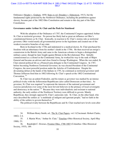### Case: 2:22-cv-00773-ALM-ART-BJB Doc #: 180-1 Filed: 04/11/22 Page: 11 of 72 PAGEID #: 5817

Ordinance (Strader v. Graham, 1850; State ex rel. Donahey v. Edmonson, 1913), but the fundamental rights protected by the Northwest Ordinance, including the prohibition against slavery, became part of the 1802 Ohio Constitution and remain to this day part of the Ohio Constitution.

# **Governance under Arthur St. Clair and the Push for Statehood**

With the adoption of the Ordinance of 1787, the Continental Congress appointed Arthur St. Clair as territorial governor. No person has likely had as great an influence on Ohio's constitutional history as St. Clair. Ironically, in reaction to St. Clair's stormy rule as territorial governor, Ohio vested nearly all governmental power in the legislature and created one of the weakest executive branches of any state.

Born in Scotland in the 1730s and indentured to a medical doctor, St. Clair purchased his freedom with an inheritance from his mother's death in the 1750s. He then received an ensign's commission in the British Army and came to the American colonies to begin a distinguished military career, though he later fought against Britain in the Revolutionary War. Initially commissioned as a colonel in the Continental Army, he worked his way to the rank of Major General and became an advisor and close friend to George Washington. When the war ended, St. Clair entered political life as a Pennsylvania delegate to the Continental Congress. In 1787, before becoming Northwest Territorial Governor, he was elected President of the Continental Congress, the most powerful position under the Articles of Confederation. Despite his devastating defeat at the hands of the Indians in 1791, he continued as territorial governor until Thomas Jefferson fired him in 1802 following St. Clair's speech at the 1802 Constitutional Convention.<sup>34</sup>

 St. Clair was an ardent Federalist, and his tenure as governor was marked by an intense political rivalry with the Jeffersonian Republicans (also called Democrats at that time). As governor, St. Clair was required "to represent the interests of the national government and exercise jurisdiction over some of the most fervent believers in the primacy of local sovereignty and democracy in the nation."<sup>35</sup> Because they were individualistic and resistant to national authority, the early settlers of the Northwest Territory were difficult to govern. Mainly Republican, they strongly opposed St. Clair's autocratic rule. St. Clair, on the other hand, who once described the settlers as "a multitude of indigent and ignorant people," had no faith in the ability of the settlers to govern themselves.<sup>36</sup>

The political rivalry between the Republicans and St. Clair reached new levels soon after

<sup>34.</sup> William Henry Smith, ed., The St. Clair Papers, vol. I (Cincinnati: Robert Clarke, 1882): 2-4.

<sup>35.</sup> J. Martin West, "Arthur St. Clair," Timeline (Ohio Historical Society, April-May 1988): 53.

<sup>36.</sup> Randolph C. Downes, Frontier Ohio, 1788-1803 (Columbus: Ohio Historical Society, 1935), 189.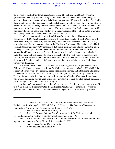the election of the first territorial legislature in 1799. The political infighting between the governor and the mostly Republican legislature came to a head when the legislature began passing bills creating new counties and abolishing property qualifications for voting. Faced with these initiatives, St. Clair exercised his veto and struck down not only these bills but more than a third of all bills passed during the first legislative session.<sup>37</sup> As a result, the territorial legislature increasingly split along national party lines.<sup>38</sup> For the most part, New Englanders tended to side with the Federalist St. Clair, while settlers from Pennsylvania and the southern states, who were the majority of settlers, tended to side with the Republicans.

St. Clair's unpopularity among Republicans also stemmed from his opposition to statehood. By 1800, Republicans began setting their sights on statehood, but St. Clair, as with most Federalists, felt the territory was not ready to become a state because it had not properly evolved through the process established by the Northwest Ordinance. The territory lacked both political stability and the 60,000 inhabitants that would have required admission into the union. To delay statehood (and prevent the admission into the union of a Republican state), St. Clair proposed dividing the Northwest Territory into three districts rather than the two authorized under the Northwest Ordinance. St. Clair 's plan called for the subdivision of the Northwest Territory into an eastern division with the Federalist-controlled Marietta as the capital, a central division with Cincinnati as its capital, and a western division with Vincennes in the Indiana Territory as its capital.<sup>39</sup>

For Federalists the plan had the advantage of splitting the strong Republican center of Ohio in half. Congress, however, rejected St. Clair's proposal and on May 7, 1800, divided the Northwest Territory into two districts, creating the Indiana territory and establishing Chillicothe as the seat of the eastern division.<sup>40</sup> In 1801, St. Clair again proposed dividing the Northwest Territory into three districts, but this time with the support of leading Cincinnati Republicans who wanted the capital moved from Chillicothe, he was able to push his plan through the second territorial legislature and resubmit it to Congress.<sup>41</sup>

Although Congress again rejected St. Clair's proposed division, this time by a vote of 81 to 5<sup>42</sup> his plan nonetheless infuriated the Chillicothe Republicans. The tension between the governor and some Republicans of that city became so great that St. Clair narrowly escaped a

<sup>37.</sup> Thomas R. Swisher, ed., Ohio Constitution Handbook (Cleveland: Banks-Baldwin Law Publishing Co., 1990), xi; SaImon P. Chase ed., The Statutes of Ohio and the Nortwestern Territory, vol. I (Cincinnati, F.S. Benton, 1833), 29.

<sup>38.</sup> See Chaddock, Ohio Before 1850, 56.

<sup>39</sup> Ibid., 57; Downes, "Ohio's First Constitution," 14. St. Clair had originally proposed dividing the Northwest Territory into three divisions in 1790.

<sup>40.</sup> An Act to divide the territory of the United States northwest of the Ohio into two separate governments, 6 Cong. Ch. 41, 2 Stat. 58 (May 7, 1800).

<sup>41.</sup> See Downes, Frontier Ohio, 198-200.

<sup>42.</sup> Bond, Foundations of Ohio, 470.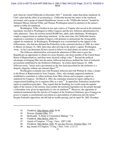mob when he visited Chillicothe in December 1801.<sup>43</sup> Ironically, rather than delay statehood, St. Clair's plan had the effect of accelerating it. Chillicothe became the center of the statehood movement, and a group of staunch Republicans, known as the "Chillicothe faction," headed by Nathaniel Massie, Edward Tiffin, and Thomas Worthington turned its attention to the nation's capital to lobby for statehood.

Worthington, Tiffin's brother-in-law and a native of Virginia who served in the territorial legislature, traveled to Washington to lobby Congress and the new Jefferson administration for early admission. Since the territory lacked 60,000 free, adult, male inhabitants, Worthington sought a congressional act authorizing statehood. At the same time, the Chillicothe faction organized a committee to inundate Congress with petitions to demonstrate the strong public support for statehood. In Washington, Worthington was overwhelmed by the support of the Jeffersonians, who had just defeated the Federalists in the contested election of 1800. In a letter to Massie on January 14, 1802, three days after arriving in the nation's capital, Worthington wrote, "so far I can determine [I] have reason to believe we shall obtain our utmost wishes . . .."<sup>44</sup>

The Jefferson administration welcomed the admission of Ohio since it gave the Republicans an opportunity to obtain two more Senators, one more member of the United States House of Representatives, and three more electoral college votes.<sup>45</sup> Beyond the political advantages in bringing Ohio into the union, Jefferson had always disliked the form of territorial government established by the Northwest Ordinance. In a letter dated January 23, 1800, Jefferson wrote, "surely such a government as the first form prescribed for the territories is a despotic oligarchy without one rational object."<sup>46</sup>

Worthington eventually met with President Jefferson and with William B. Giles, a leader in the House of Representatives from Virginia. Giles, who strongly supported statehood, established a committee to collect petitions from Ohio citizens and to prepare a report on statehood for Congress. On March 4, 1802, the committee released its report calling for a congressional Enabling Act to organize Ohio as a state.<sup>47</sup> In opposition, Federalists attacked the report on republican principles. They argued that the Enabling Act would usurp the popular rights of the citizens of the territory since neither the territorial legislature nor the people through a referendum were given an opportunity to vote on statehood.<sup>48</sup> Moreover, the opponents of statehood maintained that the Articles of Compact of the Northwest Ordinance gave Congress no power to require a constitutional convention as a precondition of admission into the union.<sup>49</sup> Despite Federalist opposition, the bill had no trouble passing, and on April 30, 1802, President

- 46. Chaddock, Ohio Before 1850, 61.
- 47. Annals of Congress, 7 Cong. 1 Sess., 1097-1100.
- 48. Chaddock, Ohio Before 1850, 59; see also Downes, Frontier Ohio, 216.
- 49. See Annals of Congress, 7 Cong. 1 Sess. 1103, 1112-13.

<sup>43.</sup> Chaddock, Ohio Before 1850, 58-59.

<sup>44</sup> Downes, Frontier Ohio, 213.

<sup>45.</sup> McDonald, "A Study in Constitution Making," 7-8.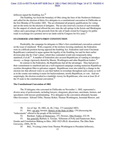# Case: 2:22-cv-00773-ALM-ART-BJB Doc #: 180-1 Filed: 04/11/22 Page: 14 of 72 PAGEID #: 5820

Jefferson signed the Enabling Act.<sup>50</sup>

The Enabling Act fixed the boundary of Ohio along the lines of the Northwest Ordinance and called for the election of thirty-five delegates to a constitutional convention in Chillicothe on the first Monday of November 1802. The act eliminated all property qualifications for voting and set the terms for the election of delegates. The act also reserved a section of each township for the support of schools and offered the new state the salt springs in the Scioto and Muskingum valleys and a percentage of the proceeds from the sale of lands owned by Congress for public roads in exchange for a promise not to tax lands sold by Congress for five years.<sup>51</sup>

# **STATEHOOD AND OHIO'S FIRST CONSTITUTION**

Predictably, the campaign for delegates to Ohio's first constitutional convention centered on the issue of statehood. With a majority of the territory favoring statehood, the Federalists were in a difficult position having opposed the Enabling Act. Federalists (and some Cincinnati Republicans) continued to argue against the legality of the Enabling Act and for their earlier division plan (the St. Clair's plan), which they contended would only temporarily delay statehood, if at all.<sup>52</sup> A number of Federalists also accused Republicans of wanting to introduce slavery—a charge vigorously denied by Massie, Worthington and other Republican leaders.<sup>53</sup>

In contrast to the Federalists, the Republicans had all the advantages. They had proven their commitment to statehood and ran a well-organized campaign creating numerous Republican societies throughout Ohio to galvanize support. Republicans were also aided by a change in the election law that allowed voters to cast their ballots in townships throughout each county as well as in the county seat making it easier for backwoodsmen, mostly Republican, to vote. And not surprisingly, the election resulted in a landslide victory for Republicans, who won at least 26 of the 35 seats to the constitutional convention.<sup>54</sup>

### **The Constitutional Convention of 1802**

 $\overline{a}$ 

The 35 delegates who convened in Chillicothe on November 1, 1802, represented a diverse array of professionals, including lawyers, clergymen, physicians, merchants, farmers, and speculators with lawyers predominating. Five delegates to the convention ultimately became Ohio Governors: Edward Tiflin, Thomas Kirker, Thomas Worthington, Jeremiah Morrow, and

52. Barnhart, Valley of Democracy, 151; Downes, Ohio Frontier, 232-39.

54 Ibid., 74 (citing a letter from Thomas Worthington to President Jefferson)..

<sup>50.</sup> Act of Apr. 30, 1802, ch. 40, 2 Stat. 173 (amended 1803).

<sup>51.</sup> Ibid.; see also Atwater, History of the State of Ohio, 170 (discussing the "inducements" offered to the people of the territory).

<sup>53.</sup> See generally Barbara A. Terzian, "Effusions of Folly and Fanaticism: Race, Gender and Constitution-Making in Ohio, 1802-1923 (Ph.D. dissertation, The Ohio State University, 1999), 59-70.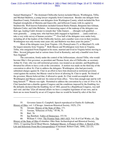Samuel Huntington.<sup>55</sup> The dominant Chillicothe faction included Massie, Worthington, Tiffin, and Michael Baldwin, a young lawyer originally from Connecticut. Besides one delegate from Hamilton County, Federalists sent delegates from Washington County, which included the New England strongholds of Marietta and Zanesville, and Jefferson County with its capital in Steubenville. Well-known Federalists included General Rufus Putnam, Benjamin Ines Gilman, Ephraim Cutler, and John McIntire. An interesting aspect of the makeup of the delegates was their age, leading Caleb Atwater to remark that "[t]he framers . . . [though] well qualified . . . were generally . . . young men, who had been little engaged in legislation . . . [and] could not . . . take a very wide survey of human societies."<sup>56</sup> Over half of the delegates were under forty, including all of the leaders of the Chillicothe faction, and a number were even in their twenties. Worthington was only twenty-nine years old, and Baldwin was three years his junior.<sup>57</sup>

Most of the delegates were from Virginia (10), Pennsylvania (7), or Maryland (5), with the largest minority from Virginia.<sup>58</sup> Both Massie and Worthington were born in Virginia. Tiffin, who emigrated From England in his teens, married and lived in Virginia before moving to Ohio. Several delegates had at various times lived in Kentucky, and only a handful were from New England.<sup>59</sup>

The convention, firmly under the control of the Jeffersonians, elected Tiffin, who would become Ohio's first governor, as president and Thomas Scott, also of Chillicothe, as secretary. Arthur St. Clair, who was still territorial governor, was treated as an outsider, and Republicans thwarted his efforts to have a role at the convention. A motion was made on the third day of the convention to allow St. Clair to address the delegates. Worthington, who had previously submitted charges against St. Clair in an effort to have him dismissed as territorial governor, voted against the motion, but Massie voted in favor of allowing St. Clair to speak. No friend of the governor, Massie believed that, if allowed to speak, St. Clair would accomplish what Worthington and Massie could not: his removal from office. "Give him enough rope and he will hang himself."<sup>60</sup> Massie was right. Permitted to address the convention by a vote of 19 to 14, St. Clair launched into a diatribe against Congress and the conditions imposed by the Enabling Act. He defiantly declared that the Enabling Act of 1802, passed by a Republican Congress, was null and void. and that "[f]or all internal affairs we have a complete legislature of our own, and in them are no more bound by an act of Congress than we would be bound by edict of the first

<sup>55.</sup> Governor James E. Campbell, Speech reproduced in Charles B. Galbreath, History of Ohio, vol. 1 (Chicago: American Historical Society, 1925), 274.

<sup>56.</sup> Atwater, History of the State of Ohio, 171.

<sup>57.</sup> Terzian, "Effusions of Folly," 95-98, 75.

<sup>58.</sup> Ibid., 76.

<sup>59.</sup> See Barnhart, Valley of Democracy, 153-54.

<sup>60.</sup> William T. Utter, The Frontier State 1803-1825. Vol. II of Carl Wittke, ed., The History of the State of Ohio (Columbus: Ohio State Archaeological and Historical Society, 1942), 12 (quoting David Mead Massie, Nathaniel Massie: A Pioneer of Ohio: A Sketch of His Life and Selections From His Correspondence (Cincinnati: Robert Clark, 1896), 222-23).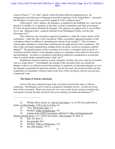consul of France."<sup>61</sup> St. Clair's speech, which President Jefferson characterized as "an intemperance and indecorum of language toward the Legislature of the United States", convinced the President to remove him as governor ending St. Clair's political career.<sup>62</sup>

Following St. Clair's address, the delegates, as required by the Enabling Act, voted on the question of whether "it is expedient, at this time, to form a constitution and State government." St. Clair obviously did not dissuade the delegates. The question was approved by a vote of thirtytwo to one. Ephraim Cutler, a staunch Federalist from Washington County, cast the only dissenting vote.<sup>63</sup>

Once underway, the convention organized committees to draft the various articles of the constitution. Under the rules of the convention, Tiffin, as president, appointed members of the committees subject to addition or amendment by motion of any member.<sup>64</sup> The convention formed eight committees to draft what would become the eight articles of the constitution. The rules of the convention required three readings before an article, section or resolution could be adopted.<sup>65</sup> The general practice of the convention was to have a committee draft an article or resolution and then submit it to the delegates sitting as a committee of the whole for discussion and amendment. An article or resolution would then be tabled for consideration a second time when it could be further amended before a final vote.<sup>66</sup>

Republicans formed a majority in each committee, but they only once voted on a recorded vote as a single block.<sup>67</sup> Unfortunately, the journal of the convention does not include the debates so there is no official record of the positions or arguments of individual delegates or even the delegates responsible for particular motions. For the most part, the journal recorded only the composition of committees, motions made on the floor of the convention, and the yeas and nays of particular votes.

# **The Status of African Americans**

Some of the most contested issues at the convention involved the status of African Americans. The delegates never voted on a proposal to introduce slavery—at least not on the floor of the convention. There were, however, two votes on the slavery section recorded in the convention's journal, but they involved votes on involuntary servitude and indentures.<sup>68</sup>

65. Ibid., 86, Rule 23.

- 66 See generally ibid.
- 67. Barnhart, Valley of Democracy, 155.
- 68. See 1802 Journal, 110-11.

<sup>61.</sup> William Henry Smith, ed., The St. Clair Papers, vol. II, 594 (also published in Smith, An Ohio Reader: 1750 to the Civil War, 63).

<sup>62</sup> Utter, The Frontier State, 13.

<sup>63.</sup> Barnhart, Valley of Democracy, 155.

<sup>64.</sup> Journal of the [1802] Convention, published in Ohio Archaeological and Historical Publications, vol. 5 (1897) (hereinafter, 1802 Journal), 87, Rule 25.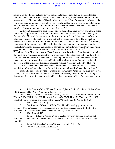Ephraim Cutler, the sole delegate to vote against statehood, claimed in his memoirs that the committee on the Bill of Rights narrowly defeated a motion by Republicans to permit a limited form of slavery,  $^{69}$  but a number of historians have questioned Cutler's account.<sup>70</sup> Moreover, the convention adopted a morally forceful probably legally ineffective provision perpetually barring the introduction of slavery. "[N]o alteration of this constitution shall ever take place, so as to introduce slavery or involuntary servitude into this state. $171$ 

Although there seems to have been no serious support for a pro-slavery amendment at the convention, $^{72}$  opposition to slavery did not translate into support for African American rights. On November 22, 1802, the committee of the whole submitted a draft that limited suffrage to white male residents who paid or were charged with a state or county tax. The convention defeated by a vote of 19 to 14 a motion to omit the word "white" from that section.<sup>73</sup> Following an unsuccessful motion that would have eliminated the tax requirement on voting, a motion to enfranchise "all male negroes and mulattoes now residing in this territory . . . if they shall within months make a record of their citizenship" passed by a vote of 19 to 15.<sup>74</sup>

This victory for African American suffrage, however, was short-lived. Four days after extending the franchise to African Americans, the convention reconsidered the issue and voted 17 to 17 on a motion to strike the entire amendment. The tie required Edward Tiffin, the President of the convention, to cast the deciding vote, and he joined his fellow Virginia Republicans, including the leaders of the Chillicothe faction, in opposing suffrage.<sup>75</sup> Though he had freed his own slaves, Tiflin believed that "the immediate neighborhood of two slave-holding States made it impolitic to offer such an inducement for the influx of an undesirable class to the new State."<sup>76</sup>

Ironically, the decision by the convention to deny African Americans the right to vote was actually a vote to disenfranchise blacks. There had not been any racial limitation on voting for delegates to the convention, and there is evidence that at least one African American voted in the

69. Julia Perkins Cutler, Life and Times of Ephraim Cutler (Cincinnati: Robert Clark, 1890)(reprinted New York: Arno Press, 1971), 74-76.

70. See, e.g., Terzian, "Effusions of Folly," 95-98; see also William Gilmore, Life of Edward Tiffin (Chillicothe, OH: Horney & Son, 1897), 72-77; Helen M. Thurston, "The 1802 Constitutional Convention and Status of the Negro," Ohio History 81 (Winter 1972), 24.

71. 1802 Const., art. VII, § 5.

72. See Terzian, "Effusions of Folly," 98. Notwithstanding questions about the accuracy of Cutler's account of what occurred in committee, he is credited with drafting the substance of the section banning slavery and involuntary servitude. Ibid.

73. 1802 Journal, 113.

 $\overline{a}$ 

74 Ibid., 114 (blank in Journal). The delegates, however, defeated a motion that would have extended the franchise to the descendants of African American voters by a single vote. Ibid.

75. Ibid., 122. See also Terzian, "Effusions of Folly," 105-06.

76. Gilmore, Life of Edward Tiffin, 76.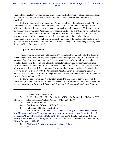election for delegates.<sup>77</sup> By this action, Ohio became the first northern state and the second state in the union (South Carolina was the first) to include a racial restriction on voting in its constitution.<sup>78</sup>

Following the initial votes on African American suffrage, the delegates voted 19 to 16 to approve an anti-civil rights amendment that denied "negroes and mulattos" the right to hold office, serve in the military, and testify in any court against a white person.<sup>79</sup> Tiffin voted with the majority to deny African Americans these specific rights —the only time he voted other than to break a tie. On November 26, the same day Tiffin broke the tie and denied African Americans suffrage, the convention reconsidered its earlier vote and defeated the anti-civil rights amendment by a single vote. In effect, the convention decided to let the legislature determine the rights of African Americans. Less than two years later, the legislature would begin passing laws limiting African American rights.<sup>80</sup>

### **Approval and Statehood**

The convention adjourned on November 29, 1802, less than a month after the delegates had convened. Before adjourning, the delegates voted to accept, with slight modification, the proposals from Congress concerning the lands set aside for schools, the salt mines, and the sale of public lands. The delegates also adopted a schedule that provided for the transition from territorial law and set elections for first Tuesday in January  $1803$ <sup>81</sup> Consistent with the practice of the time, the delegates defeated a proposal to submit the new constitution to the people for approval on a vote  $27$  to  $7^{82}$  with the Jeffersonian Republicans ironically arguing against a popular verdict on the constitution on the ground that a referendum on the constitution would be a waste of time and money.<sup>83</sup>

Following the convention, Worthington traveled to Congress to deliver a copy of the constitution, the convention's conditional acceptance of the proposals contained in the Enabling Act, and an address to President Jefferson and Congress.<sup>84</sup> Congress acknowledged Ohio as a

77. Terzian, "Effusions of Folly," 54.

78. G. Alan Tarr, "The Ohio Constitution of 1802: An Introduction," February 2000, http://www-camlaw.rutgers.edu/statecon/ohio.doc (March 22, 2004).

- 79. 1802 Journal, 115-16.
- 80. See Terzian, "Effusions of Folly," 113-18.
- 81. Schedule, 1802 Ohio Constitution.

82. 1802 Journal, 97-98. Between 1787 and 1821 only three states, Massachusetts, New Hampshire and New York submitted their constitutions to the people for ratification. See McDonald, "Study of Constitution Making," 51-52; Emilius O. Randall and Daniel J. Ryan, History of Ohio, The Rise and Progress of an American State, vol. III (New York: The Century History Company, 1912), 125.

- 83. McDonald, "Study of Constitution Making," 49-50.
- 84. Ibid.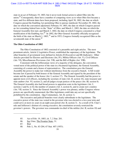state in an act of February 19, 1803, but it never took formal action to admit Ohio into the union.<sup>85</sup> Consequently, there have a number of competing views as to when Ohio first became a state, and five different dates have been proposed, including April 30, 1802, the date on which Congress passed the Enabling Act permitting Ohio to pursue statehood; November 29, 1802, the date on which the convention adjourned; February 19, 1803, the date on which Congress passed an Act extending federal laws to the "State" of Ohio; and March 1, 1803, the date on which the General Assembly first met; and March 3, 1802, the date on which Congress consented to a final modification of the Enabling Act.<sup>86</sup> In 1902, the Ohio General Assembly officially recognized the birth of the state on March 1, 1803,  $^{87}$  and in 1953, Congress formally recognized Ohio as the seventeenth state of the union.<sup>88</sup>

### **The Ohio Constitution of 1802**

The Ohio Constitution of 1802 consisted of a preamble and eight articles. The most prominent article, Article I, Legislative Power, established the supremacy of the legislature. The other branches of government were defined in Articles II (Executive) and III (Judiciary). Other Articles provided for Electors and Elections (Art, IV), Militia Officers (Art. V), Civil Officers (Art. VI), Miscellaneous Provisions (Art. VII), and the Bill of Rights (Art. VIII).

Consistent with the Jeffersonian views of a majority of the delegates, the convention vested most of the political power of the state in a bicameral legislature, the General Assembly, consisting of a senate and a house of representatives. The constitution gave the General Assembly the power to make law without interference from the executive branch. A bill would become law if passed by both houses of the General Assembly and signed by the president of the senate and the speaker of the house (Art. I, section 17). The General Assembly had the power to appoint most civil officers, including the secretary of state (Art. II, section 16), state treasurer and state auditor (Art. VI, section 2), and all judges except justices of the peace (Art. III, section 8). The General Assembly also had broad powers to apportion seats in the legislature (Art. I, sections 2 and 6), to fix the number of senators (Art. I, section 6), and to create new counties (Art. VII, section 3). Since the General Assembly's power was plenary, unlike Congress whose powers are specifically enumerated, the Ohio legislature could take any act not specifically prohibited by the constitution. (See Commentary, Art. II, section 1).

The executive and judicial branches were clearly subordinate to the legislature. The executive power of the state was vested in the governor who was elected to a two-year term and could serve at most six years in an eight-year period (Art. II, section 3). As a result of St. Clair's rule and Jefferson's distrust of a strong executive, the constitution severely restricted the governor's powers. The governor was commander-in-chief of the militia (Art. II, section 10) and

 $\overline{a}$ 

88. Pub. L. No. 83-204, 67 Stat. 407 (1953).

<sup>85.</sup> Act of Feb. 19, 1803, ch. 7, 2 Stat. 201.

<sup>86.</sup> See Utter, The Frontier State, 31.

<sup>87.</sup> Ibid.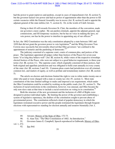had the power to grant reprieves and pardons, except in cases of impeachment (Art. II, section 5), but the governor lacked veto power and had no power of appointment other than the power to fill certain vacancies while the General Assembly was in recess (Art. II, section 8) and to appoint the adjutant general of the state militia (Art. V, section 6). Or, in the words of Caleb Atwater,

Owing to their ill will towards Governor St. Clair, the members of the convention, made our governor a mere cypher. He can pardon criminals, appoint the adjutant general, sign commissions, and fill temporary vacancies, but he has no voice in making the laws, no veto power, nor has he the power to interfere in appointing any of our officers.<sup>89</sup>

In fact, the 1802 Constitution was the only constitution adopted by a state between 1801 and 1830 that did not grant the governor power to veto legislation,<sup>90</sup> and the Whig Governor Tom Corwin once succinctly but irreverently observed that Ohio governors "are confined to the appointment of notaries and the pardoning of democrats."<sup>91</sup>

 The judiciary consisted of a supreme court, courts of common plea, and justices of the peace. The legislature appointed all judges (other than Justices of the Peace) for seven-year terms "if so long they behave well" (Art. III, section 8), while voters of the respective townships elected Justices of the Peace, who were not subject to a good behavior requirement, to three-year terms (Art. III, section 11). The supreme court, which originally consisted of three justices, had both original and appellate jurisdiction and was obligated to hold court annually in every county of the state (Art. III, sections 2 and 10). Common pleas courts had jurisdiction over all criminal, common law, and matters of equity, as well as probate and testamentary matters (Art. III, section 5).

The article on electors and elections limited the right to vote to white males twenty-one or older who paid or were charged with a state or county tax (Art. IV, section 1). Most state constitution of the time limited suffrage to males and imposed a tax requirement, which under the Ohio Constitution could be avoided by working on the public roads (Art. IV, section 5). The inclusion of racial restrictions in the constitution, however, was unusual, and Ohio became the only non-slave state at that time to include a racial restriction on voting in its constitution.<sup>92</sup>

Both the structure of the new government and the inclusion of a Bill of Rights were designed to protect individual rights. By limiting the power of the governor and establishing a system of legislative supremacy, the drafters of the constitution sought to prevent abuse of governmental power. The constitution reflected a kind of popular democracy in which the legislature restrained executive power and the people restrained the legislature through frequent elections with representatives standing for election annually and senators biennially (Art. I,

vol. 1, 272.

<sup>89.</sup> Atwater, History of the State of Ohio, 172-73.

<sup>90.</sup> G. Alan Tarr, "The Ohio Constitution of 1802: An Introduction."

<sup>91.</sup> Governor James E. Campbell, Speech reproduced in Galbreath, History of Ohio,

<sup>92.</sup> See ibid.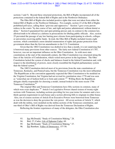sections 3 and 5). Beyond these structural protections, the Bill of Rights incorporated all of the protections contained in the federal Bill of Rights and in the Northwest Ordinance.

The Ohio Bill of Rights also included positive rights that were not taken from either the federal Bill of Rights or the Northwest Ordinance. For example, section 23 of the Bill of Rights prohibited poll taxes, calling them "grievous and oppressive." Section 7 gave every person redress in the courts "by due course of law, and right and justice administered, without denial or delay." Section 6 guaranteed free and open printing presses and, in contrast to the common law, allowed truth to be offered as a defense in prosecutions for libeling public officials. Also, section 25 prevented the passage of any law barring poor citizens from participating in schools, colleges or universities receiving public funds. In total, the Ohio Bill of Rights included twenty-eight sections, which constituted a more detailed enumeration of rights and greater protection from government abuse than the first ten amendments to the U.S. Constitution

Given that the 1802 Constitution was drafted in less than a month, it is not surprising that it borrowed many provisions from other sources. The fairly new federal Constitution of 1787, however, was not an important influence on the Ohio Constitution. As with most state constitutions at the start of the nineteenth century, the Ohio Constitution was structured along the lines of the Articles of Confederation, which vested most power in the legislature. The Ohio Constitution lacked the system of checks and balances found in the federal Constitution and, with respect to the distribution of powers, more closely resembled the English parliamentary system than the federal system. $93$ 

The 1802 Constitution derived most of its provisions from the state constitutions of Tennessee, Kentucky, and Pennsylvania, but the Tennessee Constitution was the most influential. The Republicans at the convention apparently expected the Ohio Constitution to be modeled on the Virginia Constitution, but Virginia had not revised its constitution since 1776 and was seen as "somewhat out of fashion both as to form and content."<sup>94</sup> Willing Byrd, the Republican delegate chiefly responsible for choosing a model, instead looked to the more recent 1796 Tennessee Constitution.<sup>95</sup>

The original Ohio and Tennessee Constitutions have fifty sections in common, many of which were exact duplicates.<sup>96</sup> Article I on Legislative Powers shared sixteen of twenty-eight sections with Tennessee, including sections providing for two-year terms for senators and a twothirds quorum requirement in each house and a section allowing bills to originate in either house. Also, ten of sixteen sections of Article II on Executive Powers were borrowed from Tennessee as was the decision to deny the governor the veto power. All seven sections of Article V, which dealt with the militia, were modeled on the militia sections of the Tennessee constitution, and one-third of Ohio's Bill of Rights was derived from the Tennessee Declaration of Rights.

Reflecting the frontier experiences of many of the delegates, the Ohio Constitution also

<sup>93.</sup> See McDonald, "Study of Constitution Making," 28.

<sup>94.</sup> Ibid, 27; Cutler, Life of Ephraim Cutler, 69.

<sup>95.</sup> See McDonald, "Study of Constitution Making," 27.

<sup>96.</sup> See Barnhart, Valley of Democracy, 157-58.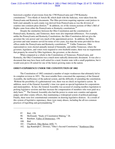borrowed a number of provisions from the 1790 Pennsylvania and 1799 Kentucky constitutions.<sup>97</sup> Two-thirds of Article III, which dealt with the Judiciary, were taken from the Pennsylvania and Kentucky documents. The Ohio provision requiring supreme court justices to hold court annually in each county was derived from Pennsylvania as was the division of counties into common pleas districts.<sup>98</sup> In addition, six of the sixteen sections of Ohio's Bill of Rights came from either the Pennsylvania or Kentucky constitutions.<sup>99</sup>

Despite the similarities between the Ohio Constitution and the constitutions of Pennsylvania, Kentucky, and Tennessee, there were also important differences. For example, unlike the Pennsylvania and Kentucky Constitutions, the Ohio Constitution did not give the governor the veto power and very much of the appointment power. In addition, the Ohio governor and state senators served for terms of two years, less than the terms provided for those offices under the Pennsylvania and Kentucky constitutions.<sup>100</sup> Unlike Tennessee, Ohio representatives were elected annually instead of biennially, and unlike Tennessee, where the governor, legislators, and voters were required to own freehold estates, there was no requirement that property be owned by Ohio legislators, the governor, or the electors.

When compared as a whole to the Constitutions of Tennessee, Pennsylvania, and Kentucky, the Ohio Constitution was a much more radically democratic document. It was also a document that may have been well-suited for a rural, frontier state with a small population, but it would soon prove ill-suited for one of the fastest growing states in the nation.

# **OHIO'S EXPERIENCE UNDER THE CONSTITUTION OF 1802**

The Constitution of 1802 contained a number of major weaknesses that ultimately led to its complete revision in 1851. The most notable flaws concerned the supremacy of the General Assembly, the inefficiency of the judicial system, and the difficulty of amending the constitution. Without the possibility of a gubernatorial veto, there was no check on legislative action. In addition, most of the General Assembly's time was spent on special legislation for corporations and municipalities. In fact, the General Assembly was accused of creating needless legislation to prolong legislative sessions and thus increase the compensation of members who were paid on a daily basis.<sup>101</sup> The General Assembly also had the power to create new counties and appoint judges and other county officers, thus maintaining a widespread system of political patronage. Finally, there were few constitutional constraints on drawing legislative districts. As a result of this system of legislative supremacy, there were many abuses, including the all-too-common practices of logrolling and gerrymandering.<sup>102</sup>

 $\overline{a}$ 

102. See Randolph C. Downes, "Ohio's Second Constitution," Northwest Ohio

<sup>97.</sup> Ibid., 158.

<sup>98.</sup> McDonald, "Study of Constitution Making," 28.

<sup>99.</sup> Barnhart, Valley of Democracy, 158.

<sup>100.</sup> Ibid.

<sup>101 .</sup> Chaddock, Ohio Before 1850, 71.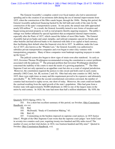### Case: 2:22-cv-00773-ALM-ART-BJB Doc #: 180-1 Filed: 04/11/22 Page: 23 of 72 PAGEID #: 5829

The General Assembly's complete control over fiscal matters also led to unrestricted spending and to the creation of an enormous debt during the era of internal improvements from 1825, when the construction of the Ohio canals began, through the 1840s. During this period, the General Assembly authorized financing backed by the full faith and credit of the state for the construction of the state's transportation system. At one point, the annual state debt approached nearly \$20 million.<sup>103</sup> As a result, the General Assembly turned to new forms of taxation and began taxing personal property as well as real property thereby angering taxpayers. The public's outrage was further inflamed by special legislation that accompanied internal improvements, especially after the Panic of 1837, which caused the failure of most Ohio banks. The General Assembly had given banks and canal, turnpike, and railroad companies special tax breaks and other benefits and had allowed banks to be chartered with little or no capital or hard currency, thus facilitating their default when the financial crisis hit in 1837. In addition, under the Loan Act of 1837, also known as the "Plunder Law," the General Assembly was authorized to subsidize private transportation companies and even began to enter risky ventures with transportation companies. Many of these companies went bankrupt requiring taxpayers to make up the losses. $104$ 

The judicial system also began to show signs of strain soon after statehood. As early as 1815, Governor Thomas Worthington recommended revising the constitution to correct problems associated with the judiciary.<sup>105</sup> The principal problem that Governor Worthington identified concerned the inability of the courts to meet the needs of a growing population.<sup>106</sup> The Ohio Supreme Court not only operated as an appellate court but also as a court of original jurisdiction. Moreover, the constitution required the justices to ride circuit and hold court in each county annually (1802 Const, Art. III, sections 2 and 10). Ohio had only nine counties in 1802, but by 1835, there were eight times as many and this requirement proved to be expensive and ultimately unworkable.<sup>107</sup> By 1850 when the second constitutional convention convened, the number of counties had increased to eighty-seven, one short of today. Moreover, the court could not handle the caseload resulting from the rapid growth of the state's population. Ohio had gone from a frontier state with approximately 50,000 inhabitants in 1802 to one of the largest states in the union by mid-century. In 1820, the state had more than half a million inhabitants. By 1830, the

Quarterly XXVI (Spring 1953): 74.

103. For a short but excellent summary of this period, see Swisher, Ohio Constitution Handbook, xix-xxi.

104. Ibid.

 $\overline{a}$ 

105. McDonald, "Study of Constitution Making," 63.

106. Ibid, 62.

107. Commenting on the burdens imposed on supreme court justices, in 1835 Justice John C. Wright of the Ohio Supreme Court wrote that the supreme court judges "now hold Court in seventy-two counties each year, requiring twenty-two hundred and fifty miles travel! The number of cases on their trial docket, in 1834, was fourteen hundred and fifty-nine!" Quoted in Swisher, Ohio Constitution Handbook, xvii.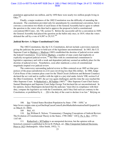population approached one million, and by 1850 there were nearly two million people living in  $Ohio.<sup>108</sup>$ 

Finally, a major weakness of the 1802 Constitution was the difficulty of amending the document. The constitution provided only for amendments by constitutional convention, but to convene a convention two-thirds of each house of the General Assembly had to agree to submit the question to the voters who then had to approve the proposal to hold a constitutional convention(1802 Const., Art. VII, section 5). Before the successful call for a convention in 1849, the General Assembly had placed the question on the ballot only once, in 1819, when the voters defeated the call by a vote of 6,987 to 29,315.<sup>109</sup>

### **Judicial Review: A Major Constitutional Crisis**

The 1802 Constitution, like the U.S. Constitution, did not include a provision expressly giving the judiciary the power to hold acts of the legislature unconstitutional. In 1803, the U.S. Supreme Court in Marbury v. Madison (1803) established the doctrine of judicial review under the federal Constitution. Even before Marbury, a number of state courts had implicitly or explicitly recognized judicial review,  $\frac{110}{10}$  but Ohio with its constitutional commitment to legislative supremacy and with a weak and dependent judiciary seemed an unlikely place for the doctrine of judicial review. Nonetheless, soon after statehood, a crisis of constitutional magnitude erupted over judicial review.

The controversy surrounding judicial review in Ohio centered on an 1805 act that gave justices of the peace jurisdiction in civil cases involving less than fifty dollars. In 1806, Judge Calvin Pease of the common pleas court for the Third Circuit (Jefferson and Belmont Counties) declared the act void and in conflict with the right to a jury trial under Article VIII, section 8 of the Ohio Constitution. In 1807, the act was again challenged, and this time the case reached the Ohio Supreme Court. In Rutherford v. M'Fadden (1807)<sup>111</sup> Ohio Supreme Court Chief Justice Samuel Huntington and Supreme Court Judge George Tod declared the act unconstitutional. In his opinion, Justice Huntington declared that the judiciary "must [be] in compliance with their duty, compare the legislative act with the Constitution, and if they find such act contrary to the Constitution, or prohibited by it . . . [I]t is the duty of the court to declare it no law." Relying on

<sup>108.</sup> See "United States Resident Population by State: 1790 – 1850," at http://www.wnjpin.state.nj.us/OneStopCareerCenter/LaborMarketInformation/lmi01/poptrd1.ht m (March 22, 2004).

<sup>109</sup> Ibid., 63.

<sup>110.</sup> See William E. Nelson, "Commentary: Changing Conceptions of Judicial Review: The Evolution of Constitutional Theory in the States, 1790-1860," 120 U. Pa. L. Rev. (1972): 1167-69.

<sup>111.</sup> Rutherford v. M'Fadden is an unreported decision, but the opinion with an historical comment is published in Ervin H. Pollack, ed., Ohio Unreported Judicial Decisions, Prior to 1823 (Indianapolis: Allen Smith, 1952), 71.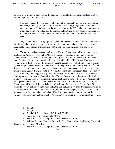the Ohio Constitution as the basis for the decision, Justice Huntington acknowledged Marbury without expressly citing the case.

I have considered this case as depending upon the construction of our own constitution and laws, without quoting the authority of other decisions, though well aware, that . . . I am supported by the judgment of the supreme court of the U.S. and of every court of the individual states, which has had the question before them, all of whom have decided that the courts of law possess the power of enquiring into the constitutionality of legislative acts.  $^{112}$ 

Judge Tod in his concurring opinion agreed that the act was unconstitutional and that the doctrine of judicial review "in our constitution is founded in the wisest policy, as it raises an insuperable barrier against encroachments of the one branch on the rights and powers of another."<sup>113</sup>

The court's decision was not well-received by the General Assembly, which passed a resolution on January 4, 1808 stating "[t]hat the judges of the state are not authorized by Constitution to set aside an act of the Legislature by declaring the same unconstitutional and void."<sup>114</sup> Soon after the gubernatorial election of 1808 in which Chief Justice Huntington became Ohio's third governor, the House of Representatives approved articles of impeachment against Judges Tod and Pease for "their exercise of the power of judicial nullification."<sup>115</sup> The Senate tried both judges in separate proceedings, but they both escaped conviction by votes of fifteen to nine against them, one vote short of the two-thirds majority required for conviction.<sup>116</sup>

Politically, the struggle over judicial review split the Republican Party and helped elect Huntington governor over his Republican rival Thomas Worthington, who opposed judicial review.<sup>117</sup> The anti-court Republicans, however, continued to control the General Assembly after the impeachments of Judges Tod and Pease, and notwithstanding the M'Fadden decision, the General Assembly extended the jurisdiction of justices of the peace in civil cases from fifty dollars to seventy dollars.<sup>118</sup> Finally, in 1810, the General Assembly passed what is known as the "sweeping resolution," which declared that all judicial offices carrying seven-year terms would be vacant even if the incumbent had taken office through an interim appointment to fill a vacancy. This resolution had the effect of "sweeping" from office judges who were then replaced

 $\overline{a}$ 

- 114. Randall & Ryan, History of Ohio, vol. V, 118.
- 115. See Utter, The Frontier State, 45-51.
- 116. See Pollack, Ohio Unreported Judicial Decisions, 102-03.

117. William T. Utter, "Judicial Review in Early Ohio," Mississippi Valley Historical Review, vol. xiv (June 1927): 13.

118. See Pollack, Ohio Unreported Judicial Decisions, 102-03.

<sup>112.</sup> Ibid., 83.

<sup>113.</sup> Ibid., 92.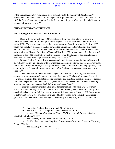by the General Assembly with judges more sympathetic to the majority of Republicans.<sup>119</sup> Nonetheless, "the practical defeat of the exponents of judicial review . . . was short-lived" and by 1815 the General Assembly appointed Judge Pease to the Supreme Court and thus vindicated the principle of judicial review.<sup>120</sup>

# **OHIO'S SECOND CONSTITUTION**

### **The Campaign to Replace the Constitution of 1802**

Despite the flaws with the 1802 Constitution, there was little interest in calling a constitutional convention following the voters' rejection of a convention in 1819 until the midto-late 1830s. The movement to revise the constitution resurfaced following the Panic of 1837, which was popularly blamed, at least in part, on the General Assembly's banking and fiscal policies. One of the first calls for a convention came from Ohio historian Caleb Atwater. In his influential work History of the State of Ohio published in 1838, Atwater noted that the principal weakness of the 1802 Constitution was the extreme power it had given to the legislature and recommended specific changes to constrain legislative power.<sup>121</sup>

Besides the legislature's disastrous economic policies and the continuing problems with the judiciary, the public's disgust with gerrymandering contributed to the call for a constitutional convention. During the 1840s, the Whigs and Jacksonian Democrats, the two major parties, were evenly split, and the party in power spent much of the legislative session engineering the next election.<sup>122</sup>

The movement for constitutional change in Ohio was part of the "orgy of nineteenthcentury constitution-making" that swept through the country.<sup>123</sup> Many of the states that held conventions to revise their constitutions had economic and structural problems similar to those in Ohio, and the people often blamed their legislatures for the same economic problems resulting from internal improvements and bank failures that plagued Ohio.<sup>124</sup>

The revisionist movement in Ohio gained momentum in 1843 when Ohio Governor Wilson Shannon publicly called for a convention. The following year a resolution calling for a constitutional convention failed to receive the two-thirds vote required by the 1802 Constitution, as did two subsequent resolutions in 1846 and 1847, but support for a convention continued to grow. By 1847, the division over calling a convention split along party lines. The Democratic

124. See generally ibid., 111-13.

<sup>119.</sup> See Utter, "Judicial Review in Early Ohio," 22-23.

<sup>120.</sup> See Pollack, Ohio Unreported Judicial Decisions, 104-05.

<sup>121.</sup> Atwater, History of the State of Ohio, 172-74; see also McDonald, "Study of Constitution Making," 68-69.

<sup>122.</sup> See Downes, "Ohio's Second Constitution," 75-76.

<sup>123.</sup> G. Alan Tarr, Understanding State Constitutions (Princeton: Princeton University Press, 1998), 97.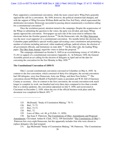Party supported a constitutional convention, while the more conservative Whig Party generally opposed the call for a convention. By 1849, however, the political situation had changed, and with the support of Whig Governor William Bebb and the Free Soil Party, which represented the abolitionist movement, Democrats succeeded in passing almost unanimously a resolution calling for a constitutional convention.<sup>125</sup>

Once the resolution passed, attention turned to the campaign. Despite the acquiescence of the Whigs in submitting the question to the voters, the party was divided, and many Whigs openly opposed the convention. Newspapers on each side of the issue tried to influence the electorate before the October general election.<sup>126</sup> On the Democratic side, the Ohio Statesman, was the most vocal supporter of a constitutional convention. Six months before the election, the Columbus paper published a special weekly paper advocating a new constitution and promoting a number of reforms including universal, white manhood suffrage, judicial reform, the election of all government officials, and limitations on state debt.<sup>127</sup> On the other side, the leading Whig paper, The Ohio State Journal, urged the voters to defeat the proposal.<sup>128</sup>

The campaign culminated on October 9, 1849 in an overwhelming victory of 145,698 to 51,161 in support of a constitutional convention (Appendix A). In February 1850, the General Assembly passed an act calling for the election of delegates in April and set the date for convening the convention for the first Monday in May  $1850^{129}$ 

### **The Constitutional Convention of 1850-51**

Ohio's second constitutional convention convened in Columbus on May 6, 1850. In contrast to the first convention, which consisted of thirty-five delegates, the second convention had 108 delegates, sixty-four Democrats, forty-one Whigs, and three Free-Soilers.<sup>130</sup> The convention elected William Medill of Fairfield County as president and W.H. Gill of Guernsey County as secretary. Also in contrast to the first convention, the second convention took much longer to complete its work, one hundred and sixty-three days compared to less than a month. Due to a cholera epidemic, the convention adjourned on July 9, 1850, and reconvened in Cincinnati on December 2, 1850, where the rest of the official business took place until the document was completed in March  $1851$ <sup>131</sup>

 $\overline{a}$ 

- 129 Laws of Ohio, vol. 48, p.19 (Feb. 11, 1850).
- 130. See Isaac F. Patterson, The Constitutions of Ohio: Amendments and Proposed

Amendments. Cleveland: Arthur H. Clark, 1912), 109 (hereinafter "The Constitutions of Ohio"). Patterson lists sixty-eight Democrats, but this apparently includes four who were chosen to replace delegates who had resigned.

131. See McDonald "Study of Constitution Making," 98; Patterson, "The Constitutions

<sup>125.</sup> McDonald, "Study of Constitution Making," 70-71.

<sup>126.</sup> Ibid., 71-72.

<sup>127.</sup> Ibid., 72-73.

<sup>128.</sup> Ibid., 72.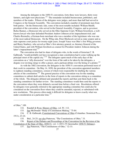### Case: 2:22-cv-00773-ALM-ART-BJB Doc #: 180-1 Filed: 04/11/22 Page: 28 of 72 PAGEID #: 5834

 Among the delegates to the 1850-51 convention, forty-three were lawyers, thirty were farmers, and eight were physicians.<sup>132</sup> The remainder included businessmen, publishers, and members of the trades. Fifteen of the delegates were judges, and more than half had served in Congress or the General Assembly. The convention included a number of prominent men from both parties. On the Democratic side, some of the most notable included: William Medill, president of the convention, who served in the General Assembly, Congress, and as governor; Rufus Ranney, a Democrat who served on the Ohio Supreme Court; William Groesbeck, a wellknown lawyer who later defended President Andrew Johnson at his impeachment trial; and Charles Reemelin, a German-born merchant who was a member of the legislature who was one of the most radical Democrats. On the Whig side, Peter Hitchcock served as state senator and as state supreme court justice for twenty-eight years; Joseph Vance was Ohio's first Whig governor; and Henry Stanbery, who served as Ohio's first attorney general, as Attorney General of the United States, and with William Grosbeck as counsel for President Andrew Johnson during the latter's impeachment trial.<sup>133</sup>

The convention also had its share of delegates who, in the words of historian C. B. Galbreath, "would probably not have recognized a state constitution had it come walking up the principal street of the capital city."<sup>134</sup> The delegates spent much of the early days of the convention on a "silly discussion" over the form of the oath to be taken by the delegates, a dispute over inviting clergy to offer a prayer, and a partisan debate over the hiring of a printer.<sup>135</sup>

As with the 1802 convention, the delegates to the 1850-51 convention performed most of their work in committee. On May 14, 1850, the president of the convention appointed members to eighteen standing committees, sixteen of which were responsible for drafting the various articles of the constitution.<sup>136</sup> The general practice of the convention was for the standing committees to submit draft articles in the form of reports to the convention sitting as a committee of the whole. The delegates debated and amended the reports and then sent them back to the standing committees for further review. The standing committees would then send the reports to the convention where they were debated a second time before a final vote. Resolutions offered by delegates were generally referred to the appropriate standing committee but could also be considered on the convention floor where they could be amended, rejected, or substituted with new resolutions. This process often made it difficult for delegates to know exactly what was under consideration at a particular time. $137$ 

of Ohio," 109.

 $\overline{a}$ 

132. Randall & Ryan, History of Ohio, vol. IV, 112.

133. See McDonald "Study of Constitution Making," 75-84.

134. C. B. Galbreath, Constitutional Conventions of Ohio (Columbus: Stoneman Press, 1911), 23-24.

135. Ibid., 24-25; see also Patterson, "The Constitutions of Ohio," 33.

136. Report of the Debates and Proceedings of the Convention for the Revision of the Constitution of the State of Ohio, 1850-51, vol. 1 (1851) 55 (hereinafter 1850-51 Debates).

137. See Patterson, "The Constitutions of Ohio," 32-33.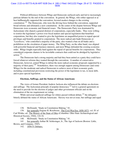### Case: 2:22-cv-00773-ALM-ART-BJB Doc #: 180-1 Filed: 04/11/22 Page: 29 of 72 PAGEID #: 5835

Political differences between Whigs and Democrats surfaced early and led to increasingly partisan debates by the end of the convention. In general, the Whigs, who either opposed or at best halfheartedly supported the convention, favored modest changes to the existing constitution.<sup>138</sup> The Democrats, who were the driving force behind the convention, supported broad reforms and ultimately a new constitution. At the center of the dispute between Whigs and Democrats were economic and financial issues. The Democratic Party was dominated by Jacksonians who shared a general distrust of corporations, especially banks. They were willing to restrict the legislature's power over fiscal matters and special legislation that benefited corporations, but they also wanted to give the legislature an unqualified power to repeal special privileges and benefits granted to corporations The more radical anti-bank Democrats or "Locofocos," who controlled a majority of the party, also wanted a ban on all banks and a prohibition on the circulation of paper money. The Whig Party, on the other hand, was aligned with powerful financial and business interests, and most Whigs defended the existing economic order. Whigs fought especially hard against the repeal of special benefits for corporations. They considered corporate charters to be inviolable contracts that could not be abridged by legislative action.<sup>139</sup>

The Democrats had a strong majority and had they been united as a party they could have forced whatever reforms they wanted through the convention. A number of conservative Democrats, however, joined Whigs to defeat the more radical economic proposals supported by a majority of their party.<sup>140</sup> Nonetheless, there was enough support among Democrats (and some Whigs) for the moderate and radical Democrats to achieve most of their economic goals, including constitutional provisions restricting the power of the legislature to tax, to incur debt, and to pass special legislation.

# **Elections, Suffrage, and the Status of African Americans**

The views of former President Andrew Jackson also influenced the debate on elections and suffrage. The Jacksonian principle of popular democracy<sup>141</sup> led to a general agreement on the need to provide for the election of judges and other government officials and on the elimination of the tax requirement on voting.

While universal manhood suffrage for whites passed without debate,  $142$  the delegates bitterly debated the status of African Americans. Slavery was not at issue, but suffrage and equal

142. 1850-51 Debates.

<sup>138.</sup> McDonald, "Study in Constitution Making," 81.

<sup>139.</sup> See generally Eugene H. Roseboom., The Civil War Era: 1850-1873, vol. IV of Carl Wittke, ed., The History of the State of Ohio (Columbus: Ohio State Archaeological and Historical Society, 1944), 124-34.

<sup>140.</sup> McDonald, "Study in Constitution Making," 81.

<sup>141</sup> See generally Arthur M. Schlesinger, Jr., The Age of Jackson (Boston: Little, Brown, and Company, 1945).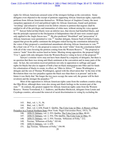rights for African Americans aroused some of the strongest feelings at the convention. Some delegates even objected to the receipt of petitions supporting African American rights, especially petitions from African Americans themselves. William Sawyer of Auglaize County, the most outspoken opponent of civil and political rights for African Americans, found such petitions "revolting" and refused to "permit even his fellow citizens to petition that negroes shall be entitled to all of the privileges and immunities of white men, without raising his voice against it."<sup>143</sup> Sawyer believed that blacks were an inferior race, that slavery had benefited blacks, and that the principle espoused in the Declaration of Independence that all men were created equal only applied to the Anglo Saxon race.<sup>144</sup> He also predicted "bloodshed" and "persecution" if African Americans were permitted to vote.<sup>145</sup> Another delegate, Simeon Nash of Gallia County, argued that given the public sentiment the delegates risked having the constitution defeated by the voters if they proposed a constitutional amendment allowing African Americans to vote.<sup>146</sup> By a final vote of 75 to 13, the proposal to remove the word "white" from the constitution failed with all of the votes favoring the petition coming from the Western Reserve.<sup>147</sup> The proposal to remove "male" from this section fared no better. Meeting strong opposition, the proposal failed 72 to 7, again with only delegates from the Western Reserve voting in favor of the proposal.<sup>148</sup>

Sawyer's extreme views may not have been shared by a majority of delegates, but there is no question that there was strong anti-black sentiment at the convention and in many parts of the state. In fact, the convention received petitions not only in opposition to suffrage and equal rights for blacks but also in support of both a ban on black immigration into Ohio and for funds for colonization of blacks to create, in effect, an "Ohio in Africa."<sup>149</sup> James Worthington, a delegate and the son of Thomas Worthington, agreed with the observation that "at the time of the Revolution there was less prejudice against the black race than there is at present" and in the future it was likely that "the longer the two races occupy the same soil, the greater will be their revulsion and the stronger the prejudice."<sup>150</sup>

Most of the opposition to African American rights came from the southern counties along the Ohio River, although there were also strong anti-black feelings in the western part of the state.<sup>151</sup> In contrast, the greatest support for African American rights came from the Western Reserve. Norton Townshend, S. J. Andrews, and Reuben Hitchcock, delegates from Lorain and Cuyahoga counties, advocated the removal of racial discrimination in voting by excluding the

 $\overline{a}$ 

146. 1850-51 Debates, vol. 2, 553; Quillin, The Color Line in Ohio, 80-81.

- 148. 1850-51 Debates, vol. 2, 555; Terzian, "Effusions of Folly," 212.
- 149. Terzian, "Effusions of Folly," 183-84.
- 150. 1850-51 Debates, vol. 2, 639.
- 151. See Terzian, "Effusions of Folly," 194-99.

<sup>143.</sup> Ibid., vol. 1, 31, 56.

<sup>144.</sup> Ibid., vol. 1, 56-57.

<sup>145.</sup> Ibid., vol. 2, 638; Frank U. Quillin, The Color Line in Ohio: A History of Race Prejudice in a Typical Northern State (New York: Negro Universities Press, 1913), 79.

<sup>147. 1850-51</sup> Debates, vol. 2, 554, 556; Quillin, The Color Line in Ohio, 81.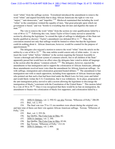word "white" from the suffrage section. Townshend introduced the amendment to remove the word "white" and argued forcefully that to deny African Americans the right to vote was "unjust," "anti-democratic," and "impolitic."<sup>152</sup> Hitchcock maintained that including the word "white" in the constitution violated the equality of men, "that great principle upon which our government is based," and was "hostile to everything that elevates and dignifies the name of  $man.^{0.153}$ 

The vote to remove the word "white" from the section on voter qualifications failed by a vote of 66 to 12<sup>.154</sup> Following this vote, James Taylor of Erie County moved to amend the section by allowing the legislature "to extend the right of suffrage to inhabitants of this State not hereby qualified as electors." Taylor's amendment was defeated 68 to  $11$ .<sup>155</sup> Thus, the convention ensured not only that suffrage would be limited to whites but that the legislature could do nothing about it. African Americans, however, would be counted for the purpose of apportionment.<sup>156</sup>

The delegates also rejected a motion to remove the word "white" from the article on the militia by a vote of 66 to 22.<sup>157</sup>. The state militia would consist only of white males. A vote to insert the word "white" before "children" in the section requiring the General Assembly to "secure a thorough and efficient system of common schools, free to all children of the State" apparently passed but would have no effect since the delegates later voted to delete all language in the section after the phrase "common schools."<sup>158</sup> The delegates, however, rejected the amendments to ban immigration and to support the colonization of African Americans, although these amendments received more votes than the amendment for African American suffrage. As with suffrage, immigration and colonization generated heated debates.<sup>159</sup> The amendment to ban immigration met with so much opposition, including from opponents of African American rights who pointed out that such a ban had been tried under the Black Laws for forty years and failed and would likely violate the U.S. Constitution, that it was withdrawn. In its place, proponents of the anti-immigration policy moved to add a section allowing the legislature to discourage the immigration of blacks "consistent with the Constitution of the United States." This motion failed by a vote of 58 to 39.<sup>160</sup> Once it was recognized that there would be no ban on immigration, the amendment to finance the colonization of blacks lost supporters, and colonization failed by a

- 155. Ibid., vol. 2, 555-56.
- 156. See Quillin, The Color Line in Ohio, 82.
- 157. 1850-51 Debates, vol. 2, 350.
- 158. See Quillin, The Color Line in Ohio, 83-84.
- 159. See Terzian, "Effusions of Folly," 212-24.
- 160. 1850-51 Debates, vol. 2, 604.

<sup>152. 1850-51</sup> Debates, vol. 2, 550-52; see also Terzian, "Effusions of Folly," 206-09.

<sup>153.</sup> Ibid., vol. 2, 552

<sup>154.</sup> The final vote was 75 to 13; ten members were absent during the original vote, and later nine of them cast their vote against African American suffrage. Terzian, "Effusions of Folly," 210.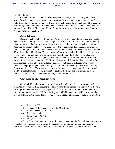# vote of 71 to  $26.161$

Compared to the debate on African American suffrage, there was hardly any debate on women's suffrage at the convention, but the proposal for women's suffrage met the same fate. Notwithstanding an active women's suffrage movement outside the convention and the receipt of petitions signed by hundreds of women, the delegates overwhelming rejected an amendment to remove the word "male" by a vote of 72 to 7. Again, the only votes in support came from the Western Reserve delegation.<sup>162</sup>

### **Other Reforms**

Besides rejecting suffrage for African Americans and women, the delegates also rejected other reforms, including proposals to ban capital punishment and to prevent a home from being taken by creditors. Both these proposals, however, garnered more votes than either African American or women's suffrage. The proposal by the select committee on capital punishment to abolish capital punishment would have added the following section to the constitution: "Human life shall ever be held inviolate. The true object of punishment being, in addition to the security of society, to reform and not to exterminate mankind; human life shall never be taken as a punishment for crime, but the highest punishment inflicted for crime shall be imprisonment during life in the state penitentiary." $163$  But the delegates tabled indefinitely the committee's recommendation, thus effectively defeating the proposal, though it did receive thirty-four votes.<sup>164</sup> The proposal guaranteeing the right to a home, introduced by J. McCormick of Adams County, provided that: "Each family is entitled to become and be possessed of a home, which shall be exempt from sale, for the payment of debts or discharge of liabilities arising from contract." McCormick's amendment failed by a vote of 60 to  $31^{165}$ 

### **Convention and Electoral Approval**

On March 10, 1851, the convention adjourned. Unlike the first convention, not all delegates supported the final document. The new constitution passed by a vote of 79 to 14 with 13 Whigs and one Free Soiler voting against it.<sup>166</sup> Also, in contrast to the 1802 convention and not required to do so by the 1802 Constitution, the 1850-51 convention decided to submit the new constitution to the people for approval.<sup>167</sup> The delegates also agreed to submit the question

 $\overline{a}$ 

- 163. 1850-51 Debates, vol. 2, 20.
- 164. Ibid., vol. 2, 34.
- 165. Ibid., vol. 2, 471, 475.
- 166. Ibid., vol. 2, 870.

167. After the approval of a convention by the electorate, the General Assembly as part of the legislation organizing the convention enacted a statutory requirement that the new constitution be submitted to the voters for their adoption or rejection, Laws of Ohio, vol. 48,

<sup>161.</sup> Ibid., 598, 605.

<sup>162.</sup> Terzian, "Effusions of Folly," 186-93, 210-12.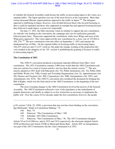of whether the General Assembly could license the traffic in intoxicating liquor to the voters on a separate ballot. The liquor question was one of the most divisive at the convention. More than twenty thousand Ohioans signed petitions opposed to the traffic in liquor.<sup>168</sup> The delegates opposed to trafficking in liquor, however, were divided between those who favored licensing so that it could be regulated and those who supported an outright ban and opposed licensing because they believed it made liquor, a social evil, respectable.

On June 17, 1851, the Ohio electorate voted on whether to support the new constitution. As with the vote leading to the convention, the campaign and vote for ratification generally followed party lines. Democrats supported the constitution, while most Whigs and most of the Whig press opposed it. The voters approved the new constitution by a close vote of 125,564 to 109, 276.<sup>169</sup> The new constitution went into effect on September 1, 1851 and remains the fundamental law of Ohio. On the separate ballot on licensing traffic in intoxicating liquor, 104,255 voted yes and 113,237 voted no, but under the strange wording of the proposition this vote resulted in the adoption of Art. XV, section 9, prohibiting the granting of licenses to traffic in intoxicating liquors. $170$ 

### **The Constitution of 1851**

The 1850-51 convention produced a document radically different form Ohio's first constitution. The 1851 Constitution contains 3,000 more words than the 1802 Constitution and nine new articles for a total of sixteen articles, one less than the current version.<sup>171</sup> The new articles adopted in 1851 dealt with Education (Art. VI), Public Institutions (Art. VI), Public Debt and Public Works (Art. VIII), County and Township Organizations (Art. X), Apportionment (Art. XI), Finance and Taxation (Art. XII), Corporations (Art. XIII), Jurisprudence (Art. XIV), and Amendments (Art. XVI). The 1850-51 convention also reordered the document by bringing the Bill of Rights, which was the final article in the 1802 Constitution, to the beginning of the new constitution.

The most sweeping changes to the 1802 Constitution involved the powers of the General Assembly. The 1802 Constitution reflected a view of the legislature as the embodiment of popular democracy and ideally as subject to as few restrictions as necessary to implement the public will. Over the course of five decades under the first constitution, however, the people

 $\overline{a}$ 

170. Schedule, 1851 Ohio Constitution.

171. Patterson, "The Constitutions of Ohio," 38. The 1851 Constitution dropped Article VI on Civil Officers, and in 1915 and 1912 respectively, the electorate adopted Article XVII on Elections and Article XVIII on Municipal Home Rule. Article XIV on Jurisprudence was part of the 1851 Constitution, but the voters eliminated it in 1953.

p.29, section 7 (Feb. 22, 1850), a provision that may not have been binding on the convention. See McDonald, "Study in Constitution Making," 74.

<sup>168.</sup> Ibid., 74.

<sup>169.</sup> Patterson, "The Constitutions of Ohio," 109.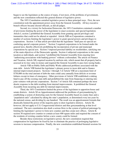began to see the legislature as the source of many, if not most, of the problems of government, and the new constitution reflected this general distrust of legislative power.

The 1851 Constitution curtailed legislative power in three principal ways. First, the new constitution took the appointment power away from the General Assembly. All key executive branch officers became elected officials, as did all judges.

Second, in a victory for Jacksonian Democrats, the 1851 Constitution contained a number of provisions limiting the power of the legislature to enact economic and special legislation. Article I, section 2 prohibited the General Assembly from granting special privileges and immunities that could not be altered or repealed. Article XIII on Corporations contained a number of sections limiting the legislature's power to grant special powers and privileges to corporations. Section 1 of that article provided that the legislature "shall pass no special act conferring special corporate powers." Section 2 required corporations to be formed under the general laws, thereby effectively prohibiting the incorporation of private and municipal corporations by special acts. Section 3 imposed personal liability on stockholders, satisfying one of the main objectives of the Democratic agenda. Section 4 subjected corporations to the same taxation as individuals, and section 7 prohibited the General Assembly from enacting laws "authorizing associations with banking powers" without a referendum. The article on Finance and Taxation, Article XII, required taxation by uniform rule, which meant that all property had to assessed at its true value in money and required the General Assembly to pass laws taxing banks.

Article VIII on Public Debt and Public Works addressed problems associated with the state debt. Article VIII limited the legislature's plenary power to incur debt and to finance internal improvement projects. Sections 1 through 3 of Article VIII set a maximum limit of \$750,000 on the total amount of debt the state could carry annually from deficits or revenue failures except in times of emergency. Other provisions of Article VIII established a sinking fund to pay off the existing state debt and prohibited the state from financing or entering into joint ventures with private corporations. Section 7 of Article XII contained perhaps the most drastic response to the debt resulting from internal improvements. It prohibited the General Assembly from incurring any debt for internal improvements.

Third, the 1851 Constitution limited the power of the legislature to apportion house and senate districts. Article XI on Apportionment addressed the problems of gerrymandering by establishing a system of districting seats for the General Assembly based on county lines and a "population ratio" calculated by taking the state's population, as determined every ten years by the national census, and dividing by one hundred. The result was an apportionment formula that drastically limited the power of the majority party to draw legislative districts. Article XI, however, did not apply to U.S. Congressional districts and thus gerrymandering at that level continued. The new constitution also dealt a serious blow to the system of political patronage by limiting the legislature's power to form new counties and thus create new offices. Article II, section 30 required new counties to contain at least 400 square miles and required the consent of the residents of existing counties before a new county could be formed.

Besides these restrictions on legislative power, the new constitution required that compensation for legislators be fixed by law to eliminate the practice of prolonging legislative sessions to increase compensation. Finally, the new constitution established biennial sessions for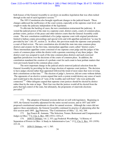both houses of the General Assembly to cut down on needless legislation that was often rushed through at the end of each legislative session.<sup>172</sup>

The 1851 Constitution also brought significant changes to the judicial branch. These changes addressed the inefficiency of the court system, especially at the supreme court level, and sought to make the judiciary independent of the legislature.

To alleviate the backlog of cases, the new constitution restructured the judiciary. It vested the judicial power of the state in a supreme court, district courts, courts of common pleas, probate courts, justices of the peace and other inferior courts that the General Assembly could create. The new constitution established a five judge supreme court with original jurisdiction limited to habeas corpus proceedings and special writs and with appellate jurisdiction "as may be provided by law" (Art. IV, section 2). In effect, this provision made the supreme court primarily a court of final review. The new constitution also divided the state into nine common pleas districts and created, for the first time, intermediate appellate courts called "district courts." These intermediate appellate courts consisted of one supreme court judge and the judges of the courts of common pleas within the district with a quorum consisting of any three judges. One district court was assigned to each of the nine common pleas districts and each exercised appellate jurisdiction over the decisions of the courts of common pleas. In addition, the constitution mandated the creation of a probate court for each count to hear probate matters that were previously heard in the common pleas courts.

The most important change in the judicial article removed judicial selection from the General Assembly by providing for the at large election of supreme court justices. The decision to have judges elected rather than appointed followed the trend of most states that were revising their constitutions at that time.<sup>173</sup> The election of judge's, however, did not come without debate. The opponents of an elective system argued that such a system would destroy any sense of merit and would lead to the election of "sons of the wealthy and well-born" who were politically connected.<sup>174</sup> Other delegates argued that supreme court justices should be elected by district rather than by the state at large. Their fear was that the justices would all be elected from the party that had control of the state, but ultimately, the proponents of statewide elections prevailed.<sup>175</sup>

<sup>172.</sup> The adoption of biennial sessions did not sit well with legislators. Beginning in 1855, the General Assembly adjourned for the entire second session, and in 1857 and 1859 proposed constitutional amendments to allow for annual sessions. Although the voters did not approve these amendments, the General Assembly continued its practice of adjourning after the first session until 1895. See Patterson, "The Constitutions of Ohio," 22, 162, 169.

<sup>173.</sup> See Francis R. Aumann, "The Selection, Tenure, Retirement and Compensation of Judges in Ohio," 5 U. Cin. L. Rev. 408 (1931): 410 n.5.

<sup>174. 1850-51</sup> Debates, vol. 2, 353; see Frederick Woodbridge, "A History of Separation of Powers in Ohio: A Study in Administrative Law," 13 U. Cin. L. Rev. 191 (1939): 223-24.

<sup>175. 1850-51</sup> Debates, vol. 1, 585.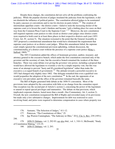### Case: 2:22-cv-00773-ALM-ART-BJB Doc #: 180-1 Filed: 04/11/22 Page: 36 of 72 PAGEID #: 5842

 Despite these changes, the constitution did not solve all the problems confronting the judiciary. While the popular election of judges insulated the judiciary from the legislature, it did not diminish the influence of political parties. The constitution allowed judges to be nominated by party caucuses or conventions and to run for election on party tickets.<sup>176</sup> The creation of intermediate appellate courts—the district courts—failed to stem the increasing docket of the supreme court or to lessen the court's burdens and became "only a halting place for cases on their way from the Common Pleas Court to the Supreme Court."<sup>177</sup> Moreover, the new constitution still required supreme court justices to ride circuit as district court judges since district courts were required to hold court in at least three places in their respective districts each year (1851 Const, Art. IV, section 5). The situation worsened to the point that the General Assembly in 1857 proposed a constitutional amendment that would have eliminated the requirement that supreme court justices sit as district court judges. When this amendment failed, the supreme court simply ignored the constitutional provision upholding, without discussion, the constitutionality of a district court without the presence of a supreme court justice (King v. Safford, 1869).<sup>178</sup>

The 1851 Constitution added the offices of lieutenant governor, auditor, treasurer, and attorney general to the executive branch, which under the first constitution consisted only of the governor and the secretary of state, but the executive branch remained the weakest of the three branches. There was some debate over giving the governor veto power, including a proposal that would have allowed the legislature to override a veto by a simple majority vote, but this was more of an attempt to prevent "hasty and ill-considered legislation" rather than make the executive a co-equal branch of government.<sup>179</sup> The attitude towards a powerful executive in 1851 had changed only slightly since 1802. One delegate remarked that even a qualified veto would jeopardize the adoption of the new constitution.<sup>180</sup> In the end, the opponents of an executive veto prevailed, and the office of the governor remained basically the same.

The Bill of Rights generated little debate at the 1850-51 convention. Most of the provisions were adopted by the convention with little or no change from the committee report. One exception was the second part of Article I, section 2, concerning the power of the legislature to amend or repeal special privileges and immunities. The debate on that provision, which implicated corporate charters, lasted more than a month (See Commentary, Art. I, section 2). Overall, the new constitution reorganized the Bill of Rights and reworded many of its provisions but made only a few substantive changes. Imprisonment for debt was restricted to cases involving fraud, and juries were required to determine compensation in cases where property was

178. See Warren Cunningham, "The Judiciary in Ohio," 20 U. Cin. L. Rev. 239 (1951):

246.

 $\overline{a}$ 

180. 1850-51 Debates, vol. 2, 293.

<sup>176.</sup> Aumann, "The Selection of Judges," 411-12.

<sup>177.</sup> Patterson, "The Constitutions of Ohio," 25.

<sup>179. 1850-51</sup> Debates, vol. 2, 292-93; see also ibid., vol. 1, 310-11; McDonald, "Study of Constitution Making," 133-35.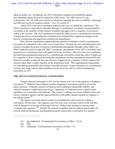taken for public use. In addition, the 1851 Constitution replaced the prohibition against discriminating against the poor in education (1802 Const., Art. VIII, section 25; see Commentary, Art. VI) with a new article on education requiring the state to establish "a thorough and efficient system of common schools." (Art. VI, section 2).

Article XVI of the new constitution addressed the ways to amend the constitution. The 1802 Constitution could only be amended through a constitutional convention recommended by two-thirds of the members of the General Assembly and approved by a majority of all electors voting at the election. The new constitution retained the ability to use a constitutional convention to begin the process of amending the constitution but included three significant changes in the process of proposing and approving constitutional amendments.

First, the new constitution required that the question of whether to hold a constitutional convention be submitted to the voters every twenty years. Second, the new constitution gave the General Assembly the power to propose constitutional amendments through a three-fifths vote. Third, unlike the policies under the 1802 Constitution, amendments to the 1851 Constitution and proposed new constitutions had to be approved by the electorate. However, the new constitution provided that amendments proposed by a constitutional convention would take effect if approved by a majority of those voting on the particular amendment, but that amendments proposed by the General Assembly would only become effective if approved by a majority of those voting at the election rather than a simple majority on the proposition itself. This supermajority requirement for amendments proposed by the General Assembly became a serious limitation on constitutional revision and, along with the flawed judicial article, led to the call for a third constitutional convention in 1871.

## **THE 1873-74 CONSTITUTIONAL CONVENTION**

Various interests converged in 1871 for the twenty-year vote on the question of holding a convention.<sup>181</sup> Both the liquor industry and the temperance movement wanted to revisit the liquor question. Corporate interests favored an end to unlimited shareholder liability, and railroad companies sought special privileges. Opponents of corporate power wanted stricter regulations on corporations and railroads. The women's suffrage movement lobbied to have the elective franchise opened, and the legal profession (with public support) pushed for changes to the judicial article.<sup>182</sup>

The need to revise the judicial system was probably the chief reason for calling a convention. By this time, "the supreme court was four years in arrears with its work and that with all diligence on the part of the judges the law's delays were destined to become more vexatious and expensive."<sup>183</sup> Besides the general recognition that the judicial article had to be revised, both the Democratic and Republican parties agreed that a convention was needed

<sup>181.</sup> See Galbreath, "Constitutional Conventions of Ohio," 32-34.

<sup>182.</sup> Ibid.

<sup>183.</sup> Galbreath, "Constitutional Conventions of Ohio," 34.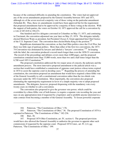because of the continued difficulty in amending the constitution. The voters had not approved any of the seven amendments proposed by the General Assembly between 1851 and 1871, although six of the seven received a majority vote of those voting on the particular amendment (Schedule B). Thus, these six amendments would have been approved but for the requirement that proposed amendments had to be approved by a majority of those voting at the election. With the support of both parties, the voters on October 10, 1871 approved the call for a convention by a vote of 267,618 to 104,231.

One hundred and five delegates convened in Columbus on May 13, 1873, and continuing in Cincinnati, the convention adjourned one year later on May 15, 1874. The delegates initially elected Morrison Waite as president, but President Ulysses S. Grant appointed him Chief Justice of the U.S. Supreme Court. The convention then elected Rufus King to the position.<sup>184</sup>

Republicans dominated the convention, as they had Ohio politics since the Civil War, but there was little sign of partisan politics. More than either of the first two conventions, the 1873- 74 Convention was dominated by lawyers and labeled a "lawyers' convention."<sup>185</sup> In keeping with the label, the convention produced a record much longer than even the 1850-51 convention. The record of the proceedings and debates covers more than 4,800 pages, and the proposed constitution contained more than 15,000 words, more than two and a half times longer than the 6,700 word 1851 Constitution.<sup>186</sup>

The proposed constitution addressed the two major areas of concern, the judiciary and the amendment process. The most innovative proposed amendment to the judicial article was a section that would have established a commission of supreme court justices whose terms expired in 1874 to assist the supreme court in deciding cases.<sup>187</sup> Regarding the process of amending the constitution, the convention proposed an amendment that would have required a three-fifths vote of the General Assembly to call a constitutional convention rather than the two-thirds vote necessary under the 1851 Constitution. Most importantly, the convention also proposed eliminating the supermajority requirement in favor of a simple majority vote to adopt proposed amendments. The delegates, however, proposed dispensing with the mandatory vote every twenty years on whether to call a convention.

The convention also proposed to give the governor veto power, which could be overridden by a three-fifths vote of both houses; to require a separate vote recording the yeas and nays on any appropriation item if requested by a legislator; and to prohibit anyone interested in a state contract from becoming a member of the General Assembly. To lessen powerful corporate

 $\overline{a}$ 

187. Proposed 1874 Ohio Constitution, art. IV, section 4. The proposed provision would have also allowed the General Assembly to authorize the governor to appoint other such commissions if requested by the supreme court. Proposed 1874 Const., art. IV, § 4; see Patterson, "The Constitutions of Ohio," 199.

<sup>184.</sup> Patterson, "The Constitutions of Ohio," 176.

<sup>185.</sup> Patterson, "The Constitutions of Ohio," 36. The proposed Constitution of 1874 is reprinted in Patterson, "The Constitutions of Ohio," 182-236.

<sup>186</sup> Ibid., 38.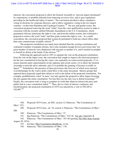interests, the convention proposed to allow the General Assembly to "prevent unjust enrichment" by corporations, to prohibit railroads from imposing excessive fees, and to pass regulations providing for the health and safety of miners. The convention decided to allow cumulative voting in elections for corporate directors, and to allow cumulative voting in the two largest counties—at that time Hamilton and Cuyahoga Counties.<sup>188</sup> On race and gender issues, the convention proposed removing the word "white" from the voter qualification section to make it consistent with the recently ratified Fifteenth Amendment to the U.S. Constitution, which guaranteed African Americans the right to vote, and from the militia section, but it defeated a proposal to remove the word "male" and thus grant women the right to vote. As a small consolation, the convention proposed that women be permitted to hold any school office other than state commissioner of public schools.<sup>189</sup>

The proposed constitution was much more detailed than the existing constitution and contained a number of popular reforms, but it also included enough divisive provisions that "[a] great number of interests were displeased with one part or another of it, and it needed no prophet to foretell its defeat at the hands of the electors."<sup>190</sup>

Following the approach used in 1851 to separate the vote on the proposed constitution from the vote on the liquor issue, the convention had sought to improve the electoral prospects for the new constitution by having the voters vote separately on controversial proposals: (1) to assure minority party representation on the supreme and circuit courts; (2) to allow the General Assembly to provide aid to railroads; and (3) to prohibit the granting of licenses to traffic in liquor.<sup>191</sup> Nonetheless, the presence of these provisions (the first two of which were rejected overwhelmingly by the voters) dealt a fatal blow to the entire document. Interest groups that opposed these proposals urged their defeat as well as the defeat of the proposed constitution. For example, prohibitionists voted "in mass" not only against the proposal to allow liquor licensing but also against the entire constitution "for fear that was the only way to defeat licens[ing]."<sup>192</sup> Finally, the convention took so long to complete its work that whatever interest the press and public had in a new constitution faded.<sup>193</sup> Thus, due to a lack of interest, confusion, and misinformation, the proposed constitution of 1874 was rejected by a vote of 250,169 to 102,885.<sup>194</sup>

<sup>188.</sup> Proposed 1874 Const., art XIV, section 12; Patterson, "The Constitutions of Ohio," 223.

<sup>189.</sup> Proposed 1874 Const., art. VI, section 3; Patterson, "The Constitutions of Ohio," 206.

<sup>190.</sup> Patterson, "The Constitutions of Ohio," 37.

<sup>191.</sup> See Patterson, "The Constitutions of Ohio," 232-36. See also Appendix B.

<sup>192.</sup> Patterson, "The Constitutions of Ohio," 347-48 (quoting The Ohio State Journal, August 20, 1874).

<sup>193.</sup> Swisher, Ohio Constitution Handbook, xxviii.

<sup>194.</sup> Patterson, "The Constitutions of Ohio," 176.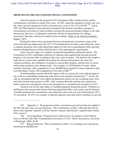## **FROM 1874 TO THE 1912 CONSTITUTIONAL CONVENTION**

 After the rejection of the proposed 1874 Constitution, Ohio would not have another constitutional convention for nearly forty years. In 1891, under the mandatory twenty-year vote, the voters rejected a proposal to hold a convention by a vote of 161,722 to 99,789.<sup>195</sup> And in 1897, the Ohio Supreme Court rejected an attempt by the General Assembly to propose a constitutional convention by joint resolution, because the proposal included changes to the state election law that were "so intimately connected with the recommendation for calling a convention" that they could not be made by joint resolution (State ex rel. Attorney General v. Kinney, 1897).

During this almost forty year period between constitutional conventions, many of the issues that had been addressed at the 1873-74 Constitutional Convention came before the voters as separate proposals, but in this period they approved only eleven amendments while rejecting nineteen (though thirteen of these failed because of the supermajority requirement).

Taxes were the subject of a number of proposed amendments during this period. The Constitution of 1851 established a uniform tax structure that required both real and personal property to be assessed alike according to their true value in money. The uniform rule sought to make the tax system more equitable by treating real and personal property the same, but valuation problems, the willingness of people to conceal their property, and the lack of serious enforcement produced some absurd results. For example, in 1910 Hamilton County, which includes Cincinnati, with a population of over 460,000 but recorded less money deposits in that year than Darke County with a population of less than  $43,000$ .<sup>196</sup>

 Notwithstanding concerns about the equity of the tax system, the voters did not approve any of the five amendments proposing some form of non-uniform classification.<sup>197</sup> In fact, the only tax amendment that the voters approved during this period was one exempting state, local, and school bonds from taxation in 1905. Still, concerns about the uniform rule continued to arouse controversy and played a role in the movement for a constitutional convention in 1912.

Taxation was not the only subject of multiple proposals during this period. Problems of inefficiency and overcrowded dockets had long plagued the Ohio court system, and the General Assembly proposed four amendments concerning the courts in the ten years following the 1873- 74 convention. In 1875, for example, to help the supreme court deal with its backlog of cases the

<sup>195.</sup> Appendix A. The proposal to hold a convention received less than one-eighth of the 803,328 total votes cast (see Patterson, "The Constitutions of Ohio," 269) and thus fell far short of the requisite "majority of all the electors voting at said election" required under Article XVI, section 2.

<sup>196.</sup> Lloyd Sponholtz, "Progressivism in Microcosm: An Analysis of the Political Forces at Work in the Ohio Constitutional Convention of 1912," (Ph.D. dissertation, University of Pittsburgh, 1969), 85-86.

<sup>197.</sup> But see Patterson, "The Constitutions of Ohio," 23 (counting seven rejected tax classification amendments).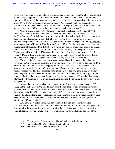voters approved an unusual amendment that authorized the governor with the advice and consent of the Senate to appoint a five-member commission that had the same power as the supreme court to decide cases.<sup>198</sup> Designed as a temporary measure, the commission had a three-year term from 1876 to 1879, but the constitutional provision, Art. IV, section 22, remains part of the current constitution, and the General Assembly, which also approved the use of the commission for two years in the 1880s, retains the power to create such commissions.<sup>199</sup>

Other changes in the court system proved difficult to achieve. In 1877 and 1879, the voters rejected constitutional amendments concerning the organization of the courts, and in 1878 the Ohio Supreme Court held unconstitutional legislation that had authorized the court to assign three common pleas judges in each district to serve as the district court, thus creating an intermediate appellate court composed of judges without trial court responsibilities (In the Matter of the Assignment of Judges to Hold District Courts, 1878). Finally, in 1883 the voters approved an amendment that replaced the district courts with a new system of appellate courts, the circuit courts. The amendment also permitted the Ohio Supreme Court, with the approval of the General Assembly, to split itself into two divisions of three justices each to hear and decide cases.<sup>200</sup> Despite these efforts, calls for judicial reform and concerns about the court's docket remained part of the political agenda in the years leading to the 1912 convention .

The most significant amendment adopted during this period changed the balance of power among the branches of government by giving the governor a veto power that included the power to line item veto provisions in appropriation bills. Legislative supremacy had been somewhat tempered by the 1851 Constitution, but efforts to give the governor the veto power were not successful. The 1874 proposed constitution included an amendment that would have given the governor veto power, but it failed with the rest of the constitution. Finally, with the support of both the Democratic and Republican Parties, the voters in 1903, one hundred years after statehood, approved a constitutional amendment giving the governor the power to veto acts of legislation.

Among the other proposals that the voters approved were three amendments in 1885 changing the election day to the first Tuesday after the first Monday in November for various state and local officials to conform to the federal election day, an amendment in 1885 concerning the terms of township officers, an amendment in 1905 concerning the terms of state and local elected officials and the filling of vacancies, an amendments in 1903 giving each county at least one representative in the Ohio House of Representatives, and a provision affecting stockholder liability in 1903 (Appendix B).

Amendments rejected during this period included in addition to the five on tax classifications and the two on the courts included two involving liquor, three involving election dates, two involving apportionment, one involving the classification of cities, one involving biennial elections for various state and local officials, one involving biennial sessions of the

<sup>198.</sup> The proposed Constitution of 1874 had included a similar amendment.

<sup>199.</sup> See Swisher, Ohio Constitution Handbook, xxix.

<sup>200.</sup> Patterson, "The Constitutions of Ohio," 250-53.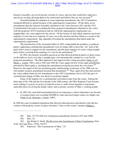General Assembly, one involving the override of vetoes, and one that would have imposed a special tax on dogs allowing them to be confiscated and killed if the tax was not paid.<sup>201</sup>

Notwithstanding the adoption of some important amendments, the 1851 Constitution remained difficult to amend because of the supermajority requirement. Of the thirty-seven amendments that the General Assembly submitted to the voters between 1851 and the 1912 Constitutional Convention (excluding the three proposed amendments submitted to the voters with the proposed 1874 Constitution and for which the supermajority requirement was inapplicable), the voters approved only eleven. Of the twenty-six that failed, nineteen received a majority of votes but not a majority of votes cast in the election and thus failed as a result of the supermajority requirement. See Appendix B (noting the amendments that failed under the supermajority requirement).

The introduction of the Australian ballot in 1891 compounded the problem, as political parties supporting constitutional amendments were no longer able to have the "yes" part of the party ticket count as support for the amendment, and the great majority of voters voting straight party tickets overlooked the marking of a vote for the amendment.  $202$ 

In 1902, the General Assembly passed an act that allowed political parties to place issues on the ballot in such a way that a straight party vote automatically counted as a vote for the proposed amendment. The Ohio Supreme Court approved this voting procedure (State ex rel. Sheets v. Laylin, 1903), and in 1903 and 1905 the voters approved five of the eight amendments presented to them under it, including the amendment giving the governor the veto power.<sup>203</sup> However, the repeal of the law permitting party endorsements in advance of the 1908 vote on still another taxation amendment doomed that amendment.<sup>204</sup> Thus, apart from this short period, the voters added relatively few amendments to the 1851 Constitution, but in 1912 the pace of constitutional change in Ohio was about to accelerate rapidly.

 Some of the impetus for a constitutional convention came from the courts. During the latter part of the 19th and the first decade of the 20th century, the Ohio Supreme Court became more willing to exercise its power of judicial review to strike down legislative enactments, especially those involving the health, safety, and economic security of Ohio's working people.

• In 1895, the court held unconstitutional an act imposing a a direct inheritance tax because it exempt estates not exceeding \$20,000 in value and taxed larger estates at a higher rate (State ex rel. Schwartz v. Ferris, 1895).

In 1896 the court invalidated legislation that allowed subcontractors and laborers who did not contract with property owners to place mechanic's liens on the owners' property Palmer v.

 $\overline{a}$ 

203. See Walter F. Dodd, The Revision and Amendment of State Constitutions (New York: Da Capo Press, 1970), 194-97.

204. Patterson, "The Constitutions of Ohio," 25.

<sup>201.</sup> Ibid., 237-95 (full text of proposed amendments between 1875 and 1908).

<sup>202.</sup> Ibid., 24.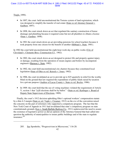# Case: 2:22-cv-00773-ALM-ART-BJB Doc #: 180-1 Filed: 04/11/22 Page: 43 of 72 PAGEID #: 5849

Tingle, 1896).

 $\overline{a}$ 

- In 1897, the court held unconstitutional the Torrens system of land registration, which was designed to simplify the transfer of real estate (State ex rel Attorney General v. Guilbert, 1897).
- In 1898, the court struck down an act that regulated the sanitary construction of house drainage and plumbing because it required some but not all plumbers to obtain a license (State v. Gardner, 1898).
- In 1901 the court struck down an act providing pensions for school teachers because it took property from one citizen for the benefit of another (Hibbard v. State, 1901).

In 1902 the court held unconstitutional the eight-hour work day on public works (City of Cleveland v. Clements Bros. Construction Co., 1902).

- In 1902, the court struck down an act designed to protect life and property against injury or damage, resulting from the operation of steam engines and boilers by incompetent engineers (Harmon v. State, 1902).
- In 1902, the court held unconstitutional city charters because they constituted local legislation (State of Ohio ex rel. Knisely v. Jones, 1902).
- In 1906, the court invalidated an act to provide up to \$25 quarterly in relief for the worthy blind on the ground that law required the expenditure of public funds raised by taxation for a private purpose (Auditor of Lucas County v. State ex rel. Boyles, 1906).
- In 1909, the court held that the use of voting machines violated the requirement of Article V, section 1 that "[a]ll elections shall be by ballot." (State ex rel. Karlinger v. Board of Deputy State Supervisors of Elections, 1909).

Finally, the court's 1912 decision upholding Ohio's optional workers' compensation statute by a thin 4-2 margin (State ex rel. Yaple v. Creamer, 1912) on the eve of the convention raised the concerns on the part of reformers who supported a compulsory program. The fact that the New York Court of Appeals in 1911 had invalidated that state's compulsory program on state constitutionals grounds (Ives v. South Buffalo Railway Co., 1911) underscored the need to assure the existence of legislative power as did an opinion of the Attorney General that had called into question the authority of municipalities to insure public buildings and of the state to regulate insurance.<sup>205</sup>

<sup>205.</sup> See Sponholtz, "Progressivism in Microcosm," 116-20.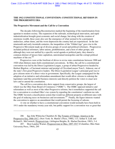## **THE 1912 CONSTITUTIONAL CONVENTION: CONSTITUTIONAL REVISION IN THE PROGRESSIVE ERA**

### **The Progressive Movement and the Call for a Convention**

 The decades following Reconstruction marked the beginning of the transformation from agrarian to modern society. The expansion of the railroads, technological innovation, and rapid industrialization brought great economic and social change, but along with the creation of enormous wealth, these years also saw the emergence of what seemed to be a permanent underclass, urban slums, and the worst depression the country had yet experienced. In the late nineteenth and early twentieth centuries, the inequalities of the "Gilded Age" gave rise to the Progressive Movement made up of diverse groups of social and political reformers. Progressives included political reformers, labor unions, prohibitionists, and a host of other groups, and although they were not unified by a specific social agenda or political party, they shared a common distrust of laissez-faire capitalism, unrestrained monopolies and the corrupt political machines of the era. $206$ 

Progressives were at the forefront of drives to revise state constitutions between 1900 and 1920 when thirteen states held constitutional conventions. In Ohio, the call for a constitutional convention was led by the Direct Legislation League, a group of urban Progressives headed by Herbert Bigelow, a Cincinnati minister and protégé of Cleveland mayor Tom L. Johnson, one of the state's first great Progressive leaders. The Direct Legislation League's principal goal was to give citizens more of a direct voice in government. Specifically, the League campaigned for the adoption of an initiative and referendum amendment that would allow citizens to sidestep the legislature (and thus powerful business interests) and directly petition the voters to enact new laws and to amend the constitution.

The call for a convention also drew support from conservative groups, the largest of which was the Ohio State Board of Commerce ("OSBC"). The OSBC opposed initiative and referendum as well as most of the other Progressive reforms, but it nonetheless supported the call for a convention to overhaul Ohio's tax system by repealing the constitution's uniform tax rule. The OSBC favored a classification system that would tax different property at different rates with the goal of reducing taxes on businesses and investments.<sup>207</sup> Finally, the liquor interests wanted the convention to approve an amendment that would permit the licensing of saloons.

A vote on whether to have a constitutional convention would normally have been held in 1911 under the mandatory twenty-year rule, but public support for a convention was so great that

<sup>206</sup> See John Whiteclay Chambers II, The Tyranny of Change: America in the Progressive Era, 1900-1917, (New York: St. Martin's Press, 1980), 113; Arthur S. Link and Richard L. McCormick, Progressivism, (Arlington Heights, IL: Harlan Davidson, 1983), 3-4.

<sup>207.</sup> Hoyt Landon Warner, Progressivism in Ohio, 1897-1917 (Columbus, Ohio State University Press, 1964), 295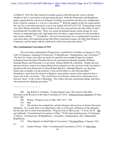on March 9, 1910, the Ohio General Assembly passed a bill allowing the voters to decide whether to have a convention at the upcoming election. Both the Democratic and Republican parties agreed that the selection of delegates would be non-partisan and that every straight party ticket would be counted as a vote for a convention.<sup>208</sup> With the support of the two major parties, the vote for a convention passed by a ten to one margin, 693,263 to 67,718. Commenting on this vote, Hoyt Warner noted that "[n]ever before in the sixty-year span has this date fallen at such a psychologically favorable time. There was a pent-up demand among various groups for such reforms as municipal home rule, legal protection of workers, improvements in court procedures, and woman suffrage."<sup>209</sup> Nonetheless, "the most insistent pleas for a constitutional convention came from three well-organized groups [the Direct Legislation League, the Ohio State Board of Commerce, and the liquor industry] dedicated to their own particular reform."<sup>210</sup>

## **The Constitutional Convention of 1912**

The convention, dominated by Progressives, assembled in Columbus on January 8, 1912, with 119 delegates, including 62 Democrats, 52 Republicans, 3 Independents, and 2 Socialists.<sup>211</sup> The first few weeks were taken up mostly by speeches from notable Progressive leaders, including former President Theodore Roosevelt, perennial presidential candidate Williams Jennings Bryan, and Wisconsin's ex-governor, Senator Robert M. LaFollette. Despite the nonpartisan election, controversy along political lines emerged over the selection of the convention's president with most Democrats favoring Herbert Bigelow. Although Bigelow was the front runner and eventually won the position, it took eleven ballots to elect him president.<sup>212</sup> Nonetheless, apart from the election of Bigelow, party politics seems to have played at best a minor role at the convention. "The real division was between conservatives and progressives, between 'those,' in the words of Macaulay, 'who cling to the past, distrusting change; and those who instinctively challenge precedent."<sup>213</sup>

<sup>208</sup> See Robert E. Cushman, "Voting Organic Laws: The Action of the Ohio Electorate in the Revision of the State Constitution in 1912," Political Science Quarterly 28 (June 1913): 208.

<sup>209.</sup> Warner, "Progressivism in Ohio 1897-1917," 295.

<sup>210</sup> Ibid.

<sup>211.</sup> The election was nonpartisan, and the delegates did not have to declare their party affiliation. As a result, there is no authoritative tally as to the party affiliations of the delegates, but the tally above comes from Sponholtz, "Progressivism in Microcosm," 37 & nn. 62-63. But see Galbreath, "Constitutional Conventions of Ohio," 59-60 (chart breaking down 119 delegates as follows: 63 Democrats, 49 Republicans, 2 Socialists, 4 Independents, and 1 Independent Republican).

<sup>212. &</sup>quot;Elect Bigelow by Hard Fight in Convention," Cleveland Press, 9 January 1912, p.1.

<sup>213.</sup> Landon Warner, "Ohio's Constitutional Convention of 1912," 61 Ohio State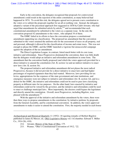Early in the convention, the delegates recognized that proposals for controversial amendments could result in the rejection of the entire constitution, as many believed had happened in 1874. To avoid this risk, the delegates agreed not to present a new constitution to the voters or to submit the proposals together for an all-or-nothing vote. Instead, the delegates adopted a variant of the piecemeal approach first suggested in 1838 by Caleb Atwater, who had urged that amendments be submitted article by article,<sup>214</sup> and recommended that each constitutional amendment be submitted to the voters as a separate issue. In the end, the convention proposed 42 amendments to the voters , who adopted 34 of them.

The OSBC failed in its efforts to have the convention propose a constitutional amendment supporting tax classification. The proposed tax amendment that the convention submitted to the voters retained the uniform rule for the assessment of taxes on all property, real and personal, although it allowed for the classification of income and estate taxes. This was not enough to please the OSBC, and the OSBC launched a vigorous but unsuccessful campaign against the adoption of the tax amendment.

The Direct Legislation League, in contrast, faired much better with its core issue, initiative and referendum. Since Progressives dominated the convention, there was little doubt that the delegates would adopt an initiative and referendum amendment in some form. The amendment that the convention finally proposed (and which the voters approved) provided for a direct initiative to amend the constitution (Art. II, section 1a) and an indirect initiative to enact new laws (Art. II, section 1b).

The proposed initiative and referendum amendment did not please the most radical Progressives, because it did not provide for a direct initiative to enact laws and had higher percentages of required signatures than they had wanted. Moreover, laws providing for tax levies, appropriations for the expenses of the state government and state institutions, and emergency measures were not subject to initiative and referendum (Art. II, section 1d), and in a defeat for the OSBC, the initiative and referendum could not be used to pass laws classifying property at different rates for tax purposes. On the other hand, laws enacted by initiative and referendum could not be vetoed by the governor, and the initiative and referendum could be used to enact or challenge municipal laws. Most importantly, the electors could bypass the legislature and directly amend the constitution. Overall, most Progressives, including Bigelow, were pleased with the amendment.<sup>215</sup>

With the approval of the initiative and referendum amendment by the voters, there were then three ways to propose amendments to the constitution: by initiative petition, by proposals from the General Assembly, and by constitutional convention. In addition, the voters approved amendments to make it easier to amend the constitution. First, the majority needed in each house

214. Atwater, History of the State of Ohio, 175.

 $\overline{a}$ 

215. Warner, "Ohio's Constitutional Convention of 1912, "22.

Archaeological and Historical Quarterly 11 (1952): 18 (quoting remarks of Herbert Bigelow published in James K Mercer, ed., Ohio Legislative History vol. I (Columbus: Edward T. Miller Co., 1914-26), 410).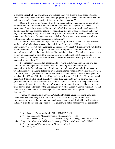to propose a constitutional amendment was reduced from two-thirds to three-fifths. Second, voters could adopt a constitutional amendment proposed by the General Assembly with a simple majority vote rather than a majority of those voting in the election.<sup>216</sup>

Despite the convention's support for the initiative and the referendum, a number of other proposals about the processes of government failed to obtain the support of the delegates. The most ardent Progressives sought to limit the role of political parties in the electoral process, but the delegates defeated proposals calling for nonpartisan election of state legislators and county judges; for an open primary; for the availability of an initiative petition to call a constitutional convention; for the use of separate nonpartisan ballots for votes on constitutional amendments; and for a bar on bar on legislators serving as delegates. $2^{17}$ 

In addition, the Convention rejected a proposal by former President Theodore Roosevelt for the recall of judicial decisions that he made in his February 21, 1912 speech to the Convention.<sup>218</sup> Roosevelt was challenging his successor, President William Howard Taft, for the Republican nomination, but Progressives who strongly supported the initiative and the referendum were split on the issue of the recall of judicial decisions. The delegates, however, did support an amendment to permit the recall or removal of public officials (in addition to impeachment), a proposal that was controversial because it was seen as many as an attack on the independence of judges. $^{219}$ 

For Progressives, second in importance to securing initiative and referendum was the adoption of a municipal home rule amendment that would give municipalities powers independent of the General Assembly. Municipal home rule was of particular importance to urban Progressives, including Toledo's Mayor Samuel Milton Jones and Cleveland's Mayor Tom L. Johnson, who sought increased control over local affairs but whose cities were hampered by state law. In 1902, the Ohio Supreme Court had struck down the Toledo City Charter as special legislation (State of Ohio ex rel. Knisely v. Jones, 1902), and both mayors believed that local governmental reform and a reduction in corruption required that cities be given greater freedom to manage their own affairs. At the time of the convention, municipalities could only exercise those powers granted to them by the General Assembly (See Bloom v. City of Xenia, 1877), and cities were unable to address a wide range of local issues without the support of the General Assembly. $220$ 

Thomas G. Fitzsimons of Cuyahoga County introduced a proposed home home rule amendment that had three goals: to allow cities to chose different types of municipal governments; to reverse the rule that municipal powers were strictly limited by the legislature and allow cities to exercise all powers of local government not in conflict with the general laws

<sup>216.</sup> Warner, "Progressivism in Ohio 1897-1917," 323.

<sup>217.</sup> See Sponholtz, "Progressivism in Microcosm," 174, 185.

<sup>218. 1912</sup> Debates, vol. I, 378-87. See also George E. Mowry, Theodore Roosevelt and the Progressive Movement (Madison: University of Wisconsin Press, 1947): 212-18.

<sup>219.</sup> Sponholtz, "Progressivism in Microcosm," 153.

<sup>220.</sup> Ibid., 161.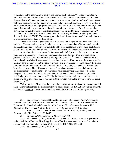of the state; and to allow cities to control and operate public utilities.<sup>221</sup> In the committee on municipal government, Fitzsimons's proposal won over an alternative proposal by a Cincinnati delegate that would have provided more state control over municipalities and would have placed additional restrictions on the financing of municipally owned public utilities. Once submitted to the convention, Fitzsimon's proposal drew strong opposition from the public utility lobby, which feared that municipal ownership would result in unfair competition, and from delegates who thought that the grant of control over local matters could be used by cites to regulate liquor.<sup>222</sup> The convention soundly defeated an amendment by the utility lobby and ultimately adopted a final draft of Article XVIII. The voters approved this article and thus expanded municipal power to enact ordinances and control local affairs.

The amendments that generated the most interest to the legal profession concerned the judiciary. The convention proposed and the voters approved a number of important changes in the structure and the operation of the courts to address the problem of overcrowded dockets and to limit the ability of the Ohio Supreme Court to hold acts of the legislature unconstitutional.

At the time of the convention, the Ohio courts included justices of the peace, common pleas courts at the county level, circuit courts, and the Ohio Supreme Court, which had six justices with the position of chief justice rotating among the  $\sin^{223}$  Overcrowded dockets and long delays in resolving litigation could be attributed as much, if not more, to the structure of the judiciary as to the increase in the state population. The most glaring problems were at the circuit court and the supreme court. Circuit courts did not function solely as appellate courts but also held trials de novo. Thus, litigants who lost at the trial court could relitigate their entire case in the circuit courts. The supreme court functioned as an ordinary appellate court, but, as one delegate at the convention noted, the circuit courts were considered a "sieve through which everybody goes to the supreme court."<sup>224</sup> By the time of the convention, the supreme court's docket was so overcrowded that it was said to take between two and five years to have the court decide a case. $225$ 

To improve the efficiency of the courts, the convention proposed and the voters approved amendments that replaced the circuit courts with courts of appeals that had only limited authority to hold trials de novo. The supreme court's appellate jurisdiction was limited by allowing

<sup>221.</sup> See Vaubel, "Municipal Home Rule in Ohio," 15; Harvey Walker, "Municipal Government in Ohio Before 1912," Ohio State Law Journal 9 (1948): 13-14; Proceedings and Debates of the Constitutional Convention of the State of Ohio: Convened January 9, 1912 (Columbus: The F.J. Heer Printing, 1912) vol. II, 1433 (hereinafter 1912 Debates).

<sup>222.</sup> Warner, "Ohio's Constitutional Convention of 1912," 24; Walker, "Municipal Government in Ohio Before 1912," 14-15.

<sup>223.</sup> Sponholtz, "Progressivism in Microcosm," 190.

<sup>224. 1912</sup> Debates, vol. I, 1026 (quoted in Jonathan L. Entin, "Judicial Supermajorities and the Validity of Statutes: How Mapp Became a Fourth Amendment Landmark Instead of a First Amendment Footnote," 52 Case W. Res. L. Rev. 441 (2001): 445 n 28).

<sup>225. 1912</sup> Debates, vol. I, 1024-25.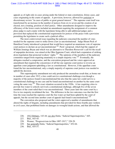appeals as of right only in cases arising under the federal or state constitution, felony cases, and cases originating in the courts of appeals. A provision, however, allowed for certiorari or discretionary review "in cases of public or great general interest." The supreme court itself was transformed by an increase in the number of justices from six to seven and the creation of an elected, not a rotating, position of chief justice. Other amendments designed to improve the efficiency of the lower courts included an amendment requiring the assignment of a common pleas judge to each county with the legislature being able to add additional judges and a provision that replaced the constitutional requirement for justices of the peace with a provision permitting the legislature to create such a judicial office.

 The most controversial issue regarding the judiciary concerned the number of votes needed for the supreme court to strike down a law as unconstitutional. Judge Hiram Peck of Hamilton County introduced a proposal that would have required an unanimous vote of supreme court justices to declare an act unconstitutional.<sup>226</sup> Peck's proposal, which had the support of William Jennings Bryan and which was an alternative to Theodore Roosevelt's call for the recall of unpopular decisions, was aimed at the Ohio Supreme Court, which had a reputation of striking down legislation that protected workers' rights.<sup>227</sup> The opinions of the members of the judiciary committee ranged from requiring unanimity to a simple majority vote.<sup>228</sup> Eventually, the delegates reached a compromise, and the convention proposed and the voters approved an amendment that required the concurrence of all but one supreme court justice to reverse an appellate court judgment upholding a law as constitutional. However, if the appellate court found the law unconstitutional, only a simply majority of supreme court justices was needed to uphold the decision.

This supermajority amendment not only produced the anomalous result that, as borne out in number of cases after 1912, a law could survive constitutional challenge even though a majority of the justices found it unconstitutional but also that the same law could survive a constitutional challenge in one case and be found unconstitutional on another by the same court voting the same way.<sup>229</sup> This exact situation occurred in the 1920s. A law requiring cities to provide free water to schools survived a constitutional challenge, although five of the seven members of the court ruled that it was unconstitutional. Three years later the same court by a five to two majority invalidated the law. The difference in the two outcomes was that the first time the issue reached the supreme court the free water act had been upheld by the court of appeals, but the second time another court of appeals had found it unconstitutional.<sup>230</sup>

The convention also proposed and the voters approved a number of amendments that altered the rights of litigants, including amendments that provided for three-fourths jury verdicts in civil cases, that prohibited limits on damages in wrongful death actions, and that allowed the

 $\overline{a}$ 

230. Ibid., 455-57.

<sup>226. 1912</sup> Debates, 143-44; see also Entin, "Judicial Supermajorities," 445.

<sup>227.</sup> Ibid., 443-45.

<sup>228.</sup> Warner, "Progressivism in Ohio 1897-1917," 328-29.

<sup>229.</sup> See generally Entin, "Judicial Supermajorities," 452-64.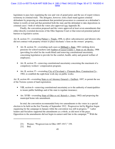## Case: 2:22-cv-00773-ALM-ART-BJB Doc #: 180-1 Filed: 04/11/22 Page: 50 of 72 PAGEID #: 5856

legislature to pass laws regulating the size and vote of grand juries and the use of expert witness testimony in criminal trials. The delegates, however, took a hard stand against criminal defendants by proposing an amendment that permitted prosecutors to comment on a defendant's failure to testify at trial and that permitted both the state and the defendant to take depositions in criminal cases—both of which the voters also approved (see Appendix B).

Finally, the convention proposed and the voters approved at least seven amendments that either directly overruled decisions of the Ohio Supreme Court or that removed potential judicial barriers to legislative action.

Art. II, section 33—overruling Palmer v. Tingle, 1896, to allow subcontractors and laborers who did not contract with property owners to place mechanic's liens on the owners' property;.

- Art. II, section 34—overruling such cases as Hibbard v. State, 1901 (striking down pensions for school teachers) and Auditor of Lucas County v. State ex rel. Boyles, 1906 (providing for relief for the worth blind) and removing constitutional uncertainty concerning legislation to provide for the comfort, health, safety and general welfare of employees;
- Art. II, section 35—removing constitutional uncertainty concerning the enactment of a compulsory workers' compensation program;
- Art. II, section 37—overruling City of Cleveland v. Clements Bros. Construction Co., 1902, to establish the eight-hour work day on public works;

Art. II, section 40—overruling State ex rel Attorney General v. Guilbert, 1897, to permit the use of the Torrens system of land registration;

- VIII, section 6—removing constitutional uncertainty as to the authority of municipalities to insure public buildings and of the state to regulate insurance;
- Art. XVIII—overruling State of Ohio ex rel. Knisely v. Jones, 1902) and proposing the municipal home rule amendment.

In total, the convention recommended forty-two amendments to the voters in a special election to be held on the first Tuesday of September 1912. Progressives led by Bigelow began organizing for the campaign in January while the convention was still in progress.<sup>231</sup> Labor leaders and Socialists supported the amendments as a whole, as did most of the press. Opposition to the amendments did not begin in earnest until late in the campaign.<sup>232</sup> With the

<sup>231.</sup> Warner, "Progressivism in Ohio 1897-1917," 339.

<sup>232.</sup> Ibid.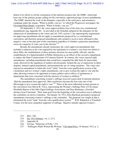defeat of its efforts to rid the constitution of the uniform taxation rule, the OSBC, which had been one of the primary groups calling for the convention, opposed passage of most amendments. The OSBC attacked the work of the delegates, especially in the rural press, and mounted a campaign under the slogan, "When in doubt, vote no," to which the Progressive newspaper, the Cleveland Plain Dealer, responded, "When in doubt, vote yes."<sup>233</sup>

On September 3, 1912, the voters approved thirty-four of the forty-two constitutional amendments (see Appendix B). As provided in the Schedule adopted by the delegates for the submission of amendments to the voters and Art. XVI, section 3, the supermajority requirement for approving amendments did not apply to amendments proposed by a a constitutional convention, and therefore proposed amendments only needed to receive more affirmative that negative votes to become part of the constitution regardless of whether a particular amendment received a majority of votes cast in the election.<sup>234</sup>

Besides the amendments already mentioned, the voters approved amendments that included a reduction in the vote required by the legislature to overturn a veto from two-thirds to three-fifths, the establishment of direct primary elections for most public officials, and the establishment of a Superintendent of Public Instruction as an officer of the executive department to replace the State Commissioner of Common Schools In contrast, the voters rejected eight amendments, including amendments that would have expanded the debt limit for intercounty roads, allowed for the regulation of outdoor advertisement, limited the use of injunctions in labor disputes, banned capital punishment, and permitted the use of voting machines. The voters also rejected an amendment to delete the word "white" from the voter qualification section of the constitution and two women's rights amendments, one to give women the right to vote and the other allowing women to be appointed as notary publics and to offices of institutions or departments that were concerned with the interests of women or children.<sup>235</sup>

The amendment concerning women's suffrage received a great deal of national attention. Had the amendment been approved, Ohio would have become the first state east of the Mississippi to give women the right to vote.<sup>236</sup> Three of the most influential women present at the convention were Myron B. Vorce, representing the Woman's Suffrage Party of Cleveland, Elizabeth Hauser of the Ohio Equal Suffrage Association, and Dora Bachman, a Socialist attorney from Cincinnati. Their main goal from the beginning of the convention was to influence the committee on elective franchise. On January 18, 1912, Dora Bachman presented a proposed amendment concerning women's suffrage to the committee. The proposal was simple in that it eliminated the word "male" from the voter qualification section.<sup>237</sup> W.B. Kilpatrick of Trumbull County was the most outspoken supporter of suffrage. Bigelow initially opposed women's

- 235. Appendix B.
- 236. Terzian, "Effusions of Folly," 274.
- 237. "Suffragets Plank Written By Woman," Cleveland Press, 18 January 1912, p. 2.

<sup>233.</sup> Ibid., 340.

<sup>234.</sup> See 1912 Debates, vol. 2, 2111.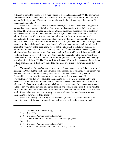suffrage but agreed to support it if it were offered as a separate amendment.<sup>238</sup> The convention approved the suffrage amendment by a vote of 74 to 37 and agreed to submit it to the voters as a separate ballot by a vote of 76 to 34, but soon afterwards, the delegates agreed to submit all amendments separately. $^{239}$ 

Despite the efforts of women's rights advocates, the suffrage amendment along with a proposed amendment on the eligibility of women to hold appointive offices failed miserably at the polls. The women's suffrage amendment attracted the largest number of voters but lost by the largest margin. The final vote was 336,875 to 249,420. The major reason given for the failure of women's suffrage was the fear that giving women the right to vote would add momentum to the temperance movement, which was overwhelmingly supported by women. Percy Andreae, leader of the anti-prohibition forces in Ohio, claimed that "woman suffrage owes its defeat to the Anti-Saloon League, which made of it a wet and dry issue and thus alienated from it the sympathy of the large liberal forces of the state, which stand sternly opposed to prohibition, no matter what guise it may masquerade in."<sup>240</sup> Another reason the suffrage vote failed may have been that the women's movement aligned itself with the third party presidential candidate Theodore Roosevelt. The New York Herald in an article on the women's suffrage amendment in Ohio wrote that "the support of the Progressive candidate proved to be the blight, instead of life and vigor."<sup>241</sup> The New York World stated "if the suffragists permit themselves to be bass-drummed into a third-party camp they will make two enemies for every friend they gain." $^{242}$ 

The adoption of thirty-four amendments in 1912 fundamentally altered the constitutional landscape in Ohio, but the election itself was in some respects disappointing. Voter turnout was relatively low with about half as many votes cast as in the 1908 election for governor. Geographically, there was little consensus across the state. The urban parts of Ohio overwhelmingly voted in favor of all the amendments except women's suffrage and voting machines. Of the thirty-four amendments that passed, nineteen would have failed if not for the urban vote.<sup>243</sup> In contrast, rural areas overwhelmingly opposed most of the amendments on the ballot. There was also a division among the northern and southern regions of the state with the north more favorable to the amendments, as a whole, compared to the south. This was likely the result of large labor movements in the northern industrial cities that saw the constitutional amendments as favorable to their cause.<sup>244</sup>

Despite the victory of the Progressive movement, there was a general dissatisfaction among the people of the state. Many felt that the Progressives forced the constitutional

- 240. Cushman, "Voting Organic Laws," 223.
- 241. "Ohio Rebuilt Constitution," The Literary Digest, 405.
- 242. Ibid.

- 243. Cushman, "Voting Organic Laws," 220.
- 244. Warner, "Progressivism in Ohio 1897-1917," 341-42.

<sup>238.</sup> Terzian, "Effusions of Folly," 271-72.

<sup>239.</sup> Ibid., 273.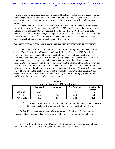convention and the amendment process on them and that there was too much of a rush to bring about change. Some commentators believed that not enough time was given for the electorate to study the amendments and that this may have contributed to voter confusion and low voter turnout. $245$ 

The convention of 1912 was the last constitutional convention in Ohio. Voters rejected the call for constitutional conventions in 1932, 1952, 1972, and 1992 when the issue was on the ballot under the mandatory twenty-year rule (Schedule A). But the 1912 convention did not mark the end of constitutional change. The piecemeal approach to constitutional change that the delegates favored in their decision to present separate amendments to the electorate became the model of constitutional change for the balance of the century.

#### **CONSTITUTIONAL CHANGE FROM 1912 TO THE TWENTY-FIRST CENTURY**

The 1912 Constitutional Convention is an important dividing line in Ohio constitutional history. From the adoption of Ohio's second constitution in 1851 to the 1912 Constitutional Convention, the voters amended the Ohio Constitution only eleven times with the most significant amendment being the 1903 provision giving the governor the veto power. In 1912 alone, however, the voters approved 34 amendments, more than three times as many amendments as they approved in the sixty years following the adoption of the 1851 Constitution. The 1912 Constitutional Convention also made the process of amending the constitution less difficult, and in the following ninety years the voters approved 108 of 196 proposed amendments (Table 1). Finally, in the last two decades of the twentieth century, the Ohio Supreme Court began to exercise the power of judicial review in a way that has increasingly brought it into conflict with the other branches of state government.

| AMERINHENTS to the 1991 Constitution |                 |                |                      |                   |  |
|--------------------------------------|-----------------|----------------|----------------------|-------------------|--|
|                                      | <b>Proposed</b> | <b>Adopted</b> | <b>Pct. Approved</b> | <b>Amendments</b> |  |
|                                      |                 |                |                      | per year          |  |
| 1852 to 1911                         | $40^{[*]}$      |                | 27.5                 |                   |  |
| 1912                                 | 42              | 34             | 81.0                 | 34.0              |  |
| 1913 to 2003                         | 197             | 108            | 54.8                 |                   |  |

| <b>Table 1</b>                             |  |  |  |  |
|--------------------------------------------|--|--|--|--|
| <b>Amendments to the 1851 Constitution</b> |  |  |  |  |

 $[<sup>*</sup>]$  This includes the three proposed amendments submitted separately to the voters in 1874 and rejected by them along with the proposed Constitution of 1874.

Before 1912, amendments could only be proposed by the General Assembly or by a constitutional convention, and approval of an amendment proposed by the General Assembly

<sup>245.</sup> C.L. Martzoloff, "Ohio: Changes in the Constitution," The American Political Science Review: Notes on Current Legislation 6 (November 1912): 573.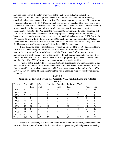required a majority of the voters who voted at the election. In 1912, the convention recommended and the voters approved the use of the initiative as a method for proposing constitutional amendments (Art. I, section 1a). Even more importantly in terms of its impact on constitutional revision, the 1912 Constitutional Convention proposed and the voters approved a change in the number of votes needed to adopt an amendment proposed by the General Assembly from a majority of the electors voting in the election to a majority vote on the specific amendment. From 1851 to 1912 under the supermajority requirement, the voters approved only 11 of the 37 amendments the General Assembly proposed. The supermajority requirement, however, did not apply to amendments proposed by constitutional conventions (1851 Const., Art. XV, section 3), and in 1912, the Constitutional Convention noted in its schedule that "[e]ach amendment on which the number of affirmative votes shall exceed the number of negative votes shall become a part of the constitution." (Schedule, 1912 Amendments).

Since 1912, the pace of constitutional revision far outpaced the pre-1912 pace, and from 1913 to 2003 the voters approved 108 of 197 or 54.8% of all proposed amendments. This increase in constitutional revision is largely explained by the repeal of the supermajority requirement and not by the adoption of the initiative. In fact, during this ninety-year period, the voters approved 94 of 140 or 67.1% of the amendments proposed by the General Assembly but only 14 of the 56 or 25% of the amendments proposed by initiative petition.

The use of the initiative to propose constitutional amendments was more common in the two decades following the Constitution, when this method was used to propose seven of the first sixteen post-1912 proposals to amend the 1851 Constitution. Since the beginning of the 1950s, however, only five of the 84 amendments that the voters approved were proposed by initiative. (Table 2).

| TADLE 4                                                                   |
|---------------------------------------------------------------------------|
| Amendments Proposed by General Assembly ("GA") and Initiative and Adopted |
| 1913-2002                                                                 |

**TABLE 2** 

| Decade  | <b>GA</b> | <b>GA</b> | <b>GA</b>      | Initiative     | Initiative     | Initiative     | Total |                |      |
|---------|-----------|-----------|----------------|----------------|----------------|----------------|-------|----------------|------|
|         |           | Pass      | Fail           |                | Pass           | Fail           |       | Pass           | Fail |
| 1913-19 |           | 2         | 5              | 14             | 4              | 10             | 21    | 6              | 15   |
| 1920s   | 11        | 4         | 7              | 5              | $\overline{0}$ | 5              | 16    | $\overline{4}$ | 12   |
| 1930s   | 5         | 3         | $\overline{2}$ | 8              | 3              | 5              | 13    | 6              |      |
| 1940s   |           | 6         | 1              | $\overline{2}$ | $\overline{2}$ | $\overline{0}$ | 9     | 8              |      |
| 1950s   | 23        | 18        | 5              |                | $\theta$       |                | 24    | 18             | 6    |
| 1960s   | 22        | 16        | 6              |                | $\theta$       |                | 23    | 16             |      |
| 1970s   | 42        | 28        | 14             | 11             |                | 10             | 53    | 29             | 24   |
| 1980s   | 11        | 6         | 5              | 7              | $\overline{0}$ | $\overline{7}$ | 18    | 6              | 12   |
| 1990s   | 11        | 10        | 1              | 6              | $\overline{4}$ | $\overline{2}$ | 17    | 14             | 3    |
| 2000-02 |           |           | $\Omega$       |                | $\Omega$       |                | 2     |                |      |
| Total   | 141       | 94        | 47             | 56             | 14             | 42             | 197   | 108            | 89   |

Despite the secondary role played by the initiative in Ohio in proposing amendments that ultimately became part of the constitution, the initiative opened the political process by serving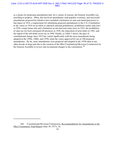## Case: 2:22-cv-00773-ALM-ART-BJB Doc #: 180-1 Filed: 04/11/22 Page: 55 of 72 PAGEID #: 5861

as a means for proposing amendments that, for a variety of reasons, the General Assembly was unwilling to propose. Often, this involved amendments with populist overtones, and successful amendments proposed by initiative have included a limitation on state and municipal power to ban liquor in 1914, a requirement for submitting proposed amendments to the U.S. Constitution to the voters in 1918 (in an effort to sidetrack national prohibition), prohibition (under state law) in 1918, county home rule and a limitation on unvoted real estate taxes in 1933, the prohibition of sales tax for food consumed off-premises in 1936, the imposition of term limits in 1992, and the repeal of the soft drink excise tax in 1994. Finally, as Table 3 shows, the pace of constitutional change since 1912 has varied significantly with the most amendments being adopted in the 1950s, 1960s, and 1970s when the voters approved 63 out of 100 proposed amendments. By far, more amendments were proposed and adopted in the 1970s than in any other decade in large part due to the creation of the Ohio Constitutional Revision Commission by the General Assembly to review and recommend changes to the constitution.<sup>246</sup>

<sup>246.</sup> Constitutional Revision Commission, Recommendations for Amendments to the Ohio Constitution: Final Report (June 30, 1977), 16.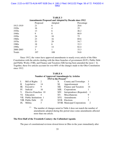|                   | .                                                           |         |            |  |  |
|-------------------|-------------------------------------------------------------|---------|------------|--|--|
|                   | <b>Amendments Proposed and Adopted by Decade since 1912</b> |         |            |  |  |
|                   | Proposed                                                    | Adopted | Percentage |  |  |
| 1913-1919         | 21                                                          | 6       | 28.6       |  |  |
| 1920s             | 16                                                          | 4       | 25         |  |  |
| 1930s             | 13                                                          | 6       | 46.2       |  |  |
| 1940 <sub>s</sub> | 9                                                           | 8       | 88.9       |  |  |
| 1950s             | 24                                                          | 18      | 75         |  |  |
| 1960s             | 23                                                          | 16      | 69.6       |  |  |
| 1970s             | 53                                                          | 29      | 54.7       |  |  |
| 1980s             | 18                                                          | 6       | 33.3       |  |  |
| 1990s             | 17                                                          | 14      | 82.4       |  |  |
| 2000-2003         | 3                                                           |         | 33.3       |  |  |
| Totals            | 197                                                         | 108     | 54.8       |  |  |
|                   |                                                             |         |            |  |  |

# **TABLE 3**

Since 1912, the voters have approved amendments to nearly every article of the Ohio Constitution with the articles dealing with the three branches of government (II-IV), Public Debt and Public Works (VIII), and Finance and Taxation (XII) having been amended the most (` 4). Together, these five articles account for over 60% of the changes made to the Ohio Constitution since 1912.

## **TABLE 4 Number of Approved Amendments by Articles 1913 to the Present[\*]**

| Ι.  | Bill of Rights             | 2  | Χ.    | County and Townships          | 3                           |
|-----|----------------------------|----|-------|-------------------------------|-----------------------------|
| П.  | Legislative                | 14 | XI.   | Apportionment                 | 3                           |
| Ш.  | Executive                  | 9  | XII.  | Finance and Taxation          | 14                          |
| IV. | Judicial                   | 16 | XIII. | Corporations                  |                             |
|     | V. Elective Franchise 10   |    |       | XIV. Jurisprudence (Repealed) |                             |
| VI. | Education                  |    | XV.   | Miscellaneous                 |                             |
|     | VII. Public Institutions 1 |    |       | XVI. Amendments               |                             |
|     | VIII. Public Debt          | 22 |       | XVII. Elections               |                             |
| IX. | Militia                    | 3  |       | XVIII. Municipal Corporations | $\mathcal{D}_{\mathcal{L}}$ |

 [\*] The number of changes noted in Table 4 does not match the number of amendments adopted during this period since some amendments affected more than one article.

## **The First Half of the Twentieth Century: the Unfinished Agenda**

The pace of constitutional revision slowed down in Ohio in the years immediately after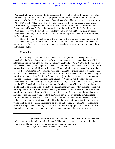1912 Constitutional Convention. In the balance of that second decade of the century, the voters approved only 4 of the 14 amendments proposed through the new initiative petition, while approving only 2 of the 7 proposed by the General Assembly. The pace slowed even more in the 1920s, 1930s, and 1940s during which the voters approved 18 of 38 proposed amendments. During this thirty-year period, the voters approved 13 of the 23 amendments proposed by the General Assembly, and 5 of the 15 proposed by initiative petition (Table 2). But during the 1950s, the decade with the fewest proposals, the voters approved eight of the nine proposed amendments, including both of those proposed by initiative petition and 6 of the 7 proposed by the General Assembly.

During this period—the balance of the first half of the twentieth century—several of the issues that the delegates to the 1912 Constitutional Convention had addressed continued to be an important part of the state's constitutional agenda, especially issues involving intoxicating liquor and women's suffrage.

#### **Prohibition**

 $\overline{a}$ 

Controversy concerning the licensing of intoxicating liquors has been part of the constitutional debate in Ohio since the early nineteenth century. At common law the traffic in intoxicating liquors was a lawful business (Baker v. Beckwith, 1876: 319), but by the middle of the nineteenth century, the temperance movement in Ohio had gained enough influence to have a proposed amendment prohibiting the licensing of liquor submitted to the voters along with the proposed 1851 Constitution.<sup>247</sup> Through what one commentator characterized as a "masterpiece" of obfuscation" the schedule to the 1851 Constitution required a separate vote on the licensing of intoxicating liquors with a "no license" vote being in favor of a constitutional prohibition on the granting of licenses to traffic in intoxicating liquors.<sup>248</sup> A majority of the voters on this amendment voted "no," thereby resulting in the approval by a narrow vote of Article XV, section 9 of the 1851 Constitution, which provided that "[n]o license to traffic in intoxicating liquors shall hereafter be granted in this state; but the general assembly may by law provide against evils resulting therefrom." A prohibition on licensing, however, did not necessarily constitute either a prohibition on liquor or liquor trafficking; but it did give the General Assembly broad power to regulate. Thus, in Miller v. State (1854), the Ohio Supreme Court upheld a statute making criminal the sale of intoxicating liquors to be drunk at the place where sold, the sale to minors, and the sale to persons intoxicated, and making the places where intoxicating liquor is sold in violation of the act a common nuisance to be shut up and abated. Declining to reach the issue of whether the legislature can wholly prohibit traffic in intoxicating liquors, the court made clear that both section 9 and the police power independently supported the power to regulate

<sup>247.</sup> The proposal, section 18 of the schedule to the 1851 Constitution, provided that "[n]o license to traffic in intoxicating liquors shall hereafter be granted in this state; but the general assembly may by law provide against evils resulting therefrom."

<sup>248.</sup> Swisher, Ohio Constitution Handbook, xxvii.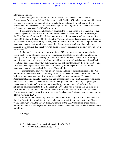intoxicating liquors.

Recognizing the sensitivity of the liquor question, the delegates to the 1873-74 Constitutional Convention followed the pattern established in 1851 and again submitted its liquor proposal to a separate vote in an effort to insulate the constitution from political controversy. Nonetheless, the presence of the issue of licensing of intoxicating liquor on the ballot contributed to the voters' rejection of the 1874 Constitution.

Subsequently, the General Assembly attempted to require bonds as a prerequisite to tax anyone engaged in the traffic of liquor and liens on tenants engaged in the liquor business, but the Ohio Supreme Court considered these measures to be licenses and struck them down (State v. Hipp, 1882; State v. Sinks, 1884). In 1883, the Women's Christian Temperance Union, founded in Cleveland in 1874, successfully campaigned for an amendment that would have prohibited the manufacture and sale of intoxicating liquors, but the proposed amendment, though having received more positive than negative votes, failed to receive the requisite majority of votes cast in the election. $249$ 

In the two decades after the approval of the 1912 proposal to amend the constitution to permit the licensing of liquor, there were ten proposed constitutional amendments addressing directly or indirectly liquor licensing. In 1914, the voters approved an amendment limiting a municipality's home rule power over liquor outside of its territorial jurisdiction and specifically prohibiting the passage of any law outlawing the sale of liquor throughout the state. In 1915 and 1917, the voters rejected two amendments proposed by initiative petitions to prohibit the manufacture and sale of alcoholic beverages (Appendix B).

The momentum, however, was quickly turning in favor of the prohibitionists. In 1918, prohibitionists led by the Anti-Saloon League, which had been founded in Oberlin in 1893 and had grown into a national organization, convinced Congress to propose the Eighteenth Amendment banning the sale, manufacture and transportation of intoxicating liquor. The liquor industry in Ohio tried to prevent ratification of the Eighteenth Amendment by supporting an amendment to the Ohio Constitution that would have required a referendum before the ratification of amendments to the U.S. Constitution.<sup>250</sup> Ohio voters ratified this amendment in 1918, but the U.S. Supreme Court held it unconstitutional in violation of Article V of the U.S Constitution which places ratification solely in the hands of state legislatures or state conventions (Hawke v. Smith, 1920).

Prohibition in Ohio actually took effect at the end of 1918 by virtue of an amendment to the Ohio Constitution prohibiting the sale and manufacture of liquor, and it lasted for fifteen years. Finally, in 1933, the Twenty-first Amendment to the U.S. Constitution ended national prohibition, and in the same year, Ohio voters ratified an amendment that also repealed statewide prohibition.

#### **Suffrage**

<sup>249.</sup> Patterson, "The Constitutions of Ohio," 249-50.

<sup>250.</sup> Terzian, Effusions of Folly, 278.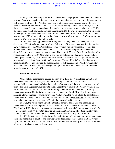In the years immediately after the 1912 rejection of the proposed amendment on women's suffrage, Ohio voters again addressed constitutional amendments concerning the rights of women and women's suffrage. In 1913, the voters approved an amendment giving women the right to serve on boards or commissions that dealt with issues affecting women and children, but in 1914, the voters rejected again an amendment that would have given women the right to vote. Unlike the liquor issue which ultimately required an amendment to the Ohio Constitution, the extension of the right to vote to women was the result of the amendment of the U.S. Constitution. Thus, it was not until 1920 with the adoption of the Nineteenth Amendment to the U.S. Constitution that women in Ohio were given the right to vote.

With women having joined blacks as eligible to vote by federal mandate, the Ohio electorate in 1923 finally removed the phrase "white male" from the voter qualification section (Art. V, section 1) of the Ohio Constitution. This revision was only symbolic, because the Fifteenth and Nineteenth Amendments to the U. S. Constitution had prohibited electoral disqualification on account of race and gender. Thus, it took 53 years from the ratification of the Fifteenth Amendment in 1870 for Ohio to bring its constitution into harmony with its federal counterpart. Moreover, nearly forty more years would pass before race and gender limitations were completely deleted from the Ohio Constitution. The word "white" was finally removed from Article IX, section 1 listing the qualifications for militia service in 1953, five years after President Truman's executive order desegregating the military, and "male" was not removed from the same section until 1961.

#### **Other Amendments**

Other notable amendments during the years from 1913 to 1950 included a number of taxation amendments. In 1918, the General Assembly and an initiative proposed two irreconcilable amendments involving the taxation of property, and the voters approved both of them. The Ohio Supreme Court in State ex rel. Greenlund v. Fulton (1919), however, held that the amendment proposed by the General Assembly would take effect over the conflicting amendment proposed by initiative petition since, pursuant to Article II, section 1b, the former received a larger number of affirmative votes. And in 1929, the voters adopted a constitutional amendment imposing a one and one-half percent limit on unvoted ad valorem property taxes but lowered that amount to one percent in 1933 in the midst of the Depression.

In 1921, the voters began a tradition that has continued unabated and approved an amendment to Article VIII to permit the issuance of bonds for bonuses for veterans of World War I, and in 1923, the voters expanded the powers of the Industrial Commission over worker's compensation. In 1949, the voters adopted an amendment requiring office-type ballots where candidate names were listed under each elected office rather than by party affiliation.

In 1933 the voters used the initiative for the first time in 15 years to approve amendments extending home rule to counties and limiting unvoted real estate taxes, and in 1936 the voters again used the initiative to propose an amendment (which was ultimately approved) to prohibited sales tax on food consumed on the premises.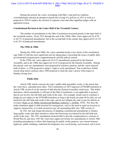## Case: 2:22-cv-00773-ALM-ART-BJB Doc #: 180-1 Filed: 04/11/22 Page: 60 of 72 PAGEID #: 5866

During this period, the voters, in keeping with Ohio's anti-poll tax tradition, overwhelmingly rejected an attempt to permit the levying of a poll tax in 1921 as well as a proposal in 1938 to replace the election of supreme court and other appellate judges with an appointed system.

## **Constitutional Revision in the Latter Half of the Twentieth Century**

 The number of amendments to the Ohio Constitution increased greatly in the latter half of the twentieth century. From 1913 through the end of the 1940s, Ohio voters approved 24 of 59 or 40.7% of proposed amendments, but in the second half of the century they approved 83 of 135 or 61.5% of proposed amendments.

## **The 1950s & 1960s**

During the 1950s and 1960s, the voters amended nearly every article of the constitution (see Table 2) with the most significant activity taking place concerning the issues of public debt, governmental reorganization, reapportionment, and the judicial system.

In the 1950s, the voters approved 18 of 23 amendments proposed by the General Assembly, and in the 1960s they approved 16 of 22 proposed by the General Assembly. During this period, only two amendments were proposed by initiative petition, and the voters rejected both of them—a 1958 proposal to adopt a "right to work amendment" that would have forbid closed-shop union contracts and a 1962 proposal to limit the state's power with respect to Sunday closing laws.

#### **Public Debt**

Article VIII, which concerns the state's public debt and public works, is the article that the voters have amended most often. The Constitution of 1851 imposed a \$750,000 limitation in Article VIII, section 8 on the amount of debt that the General Assembly could incur. This dollar limitation, which remarkably is still part of the Ohio Constitution, is not applicable to projects that do not involve the full faith and credit of the state. For example, bonds used to construct a bridge are not subject to the \$750,000 limitation as long as the bonds are paid off by tolls, are not backed by the full faith and credit of the state, and do not obligate the state to pay for deficits in revenues (State ex rel. Public Institutional Building Authority v. Griffith, 1939). Nor does the dollar limitation apply to debt incurred for emergencies, such as the need to repel an invasion or suppress insurrection, or to debt incurred to pay off outstanding debt (Art. VIII, section 2).

In 1921, the state began the practice of adopting constitutional amendments to finance large public works and other initiatives where the borrowing was backed by the full faith and credit of the state. The 1921 amendment incurred debt to provide compensation to veterans of World War II, and since 1947 the voters have approved twenty-two amendments to Article VIII, including amendments to allow debt financing for public works projects, war veteran bonuses, highways, public buildings, industrial development, low-cost housing, coal research, aid to local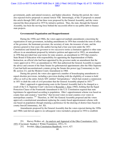governments, parks and natural resources, and higher education. During this period, the voters also rejected twelve proposals to amend Article VIII. Interestingly, of the 35 proposals to amend this article through 2003, all but three were proposed by the General Assembly, and the voters rejected the three proposed in 1975 by initiative petition. Thus, the state, through the General Assembly, has been the moving force behind the successful effort to use public debt to finance state projects.

## **Governmental Organization and Reapportionment**

 During the 1950s and 1960s, the voters approved multiple amendments concerning the organization of state government, including amendments in 1954 that extended the term of office of the governor, the lieutenant governor, the secretary of state, the treasurer of state, and the attorney general to four years (the auditor having had a four-year term under the 1851 Constitution) and limited the governor to two successive terms (a limitation applied to other state officers in an amendment proposed by initiative petition and approved in 1992), an amendment in 1956 that provided four-year terms for state senators, an amendment in 1953 that created a State Board of Education with responsibility for appointing the Superintendent of Public Instruction, an official who had been appointed by the governor under an amendment that the voters approved in 1912; an amendment in 1961 that authorized the General Assembly to require the advice and consent of the State Senate for gubernatorial appointments after the Ohio Supreme Court had held unconstitutional a statute giving the Senate this power (see Commentary to Art. III, section 21); and the Modern Courts Amendment in 1968.

 During this period, the voters also approved a number of housekeeping amendments to repeal obsolete provisions, including a provision dealing with the eligibility of women to hold office as well as the entire Article XIV entitled "Jurisprudence," which had created a commission in 1851 to draft the code of civil procedure that the General Assembly adopted in  $1853$ <sup>251</sup>

Ohio's approach to apportioning seats in the General Assembly had to be changed as a result of the U.S. Supreme Court's decision in Reynolds v. Sims (1964), holding that the Equal Protection Clause of the Fourteenth Amendment to the U.S. Constitution required that state legislatures be apportioned according to population. Ohio's apportionment scheme was based on county lines and created a "rural bloc" that favored voters in rural counties over voters in metropolitan counties .<sup>252</sup> Therefore, in 1967 the General Assembly proposed and the voters approved a constitutional amendment replacing the county-based apportionment scheme with one based on population (though retaining a preference for the drawing of district lines based on county lines)(Commentary, Art. XI).

Amendments proposed by the General Assembly that the voters rejected during the 1950s and 1960s (and did not approve on subsequent votes) included a proposal in 1954 to establish

<sup>251.</sup> Harvey Walker, ed., An analysis and Appraisal of the Ohio Constitution 1851– 1951 (Cincinnati: Stephen J. Wilder Foundation, 1951), 51.

<sup>252.</sup> Swisher, Ohio Constitution Handbook, xxxvi, 427.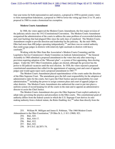four year terms for both representatives and senators, a proposal in 1958 to permit county voters to form metropolitan federations, a proposal in 1969 to lower the voting age from 21 to 19, and a proposal in 1968 to create a homestead tax exemption.

#### **Modern Courts Amendment**

In 1968, the voters approved the Modern Courts Amendment, the first major revision of the judiciary article since the 1912 Constitutional Convention. The Modern Courts Amendment reorganized the administration of the courts to address the same problem of overcrowded dockets and court backlogs that had plagued Ohio since the early days of statehood. The Modern Courts Amendment sought to provide direction and leadership for the judiciary. By the mid-1960s, Ohio had more than 400 judges operating independently,<sup>253</sup> and there was no central authority that could assign judges in districts with relatively light caseloads to districts with heavy caseloads.<sup>254</sup>

 Working with the Ohio State Bar Association's Modern Courts Committee and the Legislative Service Commission's Study Committee on Judicial Administration,<sup>255</sup> the General Assembly in 1968 submitted a proposed amendment to the voters but only after removing a provision requiring adoption of the "Missouri plan"—a system of first appointing, then electing judges. Under the 1851 Ohio Constitution, judges are elected, although the governor has the power to fill judicial vacancies until the next election. In 1938, the voters rejected a proposed constitutional amendment that called for the appointment of supreme court and court of appeals judges and would again reject such a proposed amendment in  $1987$ <sup>256</sup>

 The Modern Courts Amendment placed superintendence of the courts under the direction of the Ohio Supreme Court. The amendment gave the full court responsibility for the adoption of administrative rules for the courts, but it gave the Chief Justice special responsibility for court administration,<sup>257</sup> including the power to assign common pleas and court of appeals judges to other districts. The Modern Courts Amendment also authorized the court to put into place a uniform system of record keeping for all the courts in the state and to appoint an administrative director to assist the Chief Justice.

The Modern Courts Amendment also gave the Ohio Supreme Court explicit authority to adopt rules governing the practice and procedures in the Ohio courts. This constitutional grant of authority differs from the federal system in which the U.S. Supreme Court derives its rulemaking authority from a federal statute, the Rules Enabling  $\text{Act}^{\text{258}}$  rather than directly from the

<sup>253.</sup> William W. Milligan and James E. Pohlman, "The 1968 Modern Courts Admendment to the Ohio Constitution," 29 Ohio St. L. J. 811 (1968): 821.

<sup>254.</sup> Ibid., 825.

<sup>255.</sup> Ibid., 816-17.

<sup>256.</sup> Ibid., 812.

<sup>257.</sup> Ibid., 822.

<sup>258. 28</sup> U.S.C. §§ 2071-74.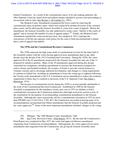federal Constitution. As a result of the constitutional source of its rule-making authority, the Ohio Supreme Court has struck down procedural statutes intended to govern court proceedings as inconsistent with its rules (See Rockey v. 84 Lumber Co., 1993).

 The Modern Courts Amendment reorganized the lower courts by removing the constitutional status of probate courts, which were replaced by probate divisions of the common pleas courts, and by allowing the General Assembly to create new courts of appeals. Before the amendment, the General Assembly was only authorized to create courts "inferior to the courts of appeal" and to increase the number of court of appeals judges.<sup>259</sup> Finally, the Modern Courts Amendment repealed the controversial provision, first adopted in 1912, requiring the concurrence of all but one supreme court justice for the court to hold unconstitutional a statute that a court of appeals had upheld..

## **The 1970s and the Constitutional Revision Commission**

The 1970s represent the high water mark of constitutional revision for the latter half of the twentieth century with the voters having approved more amendments than in any other decade since the decade of the 1912 Constitutional Convention. During the 1970s, the voters approved 28 of the 42 amendments proposed by the General Assembly but only one of the 11 proposed by initiative petition. Many of the 29 amendments approved during this decade concerned tax exemptions, including amendments to increase the homestead exemption for senior citizens and disabled residents, the issuance of bonds to provide veteran bonuses to Vietnam veterans and to encourage industrial development, and changes to voting requirements to conform to federal law, including an amendment to lower the voting age to eighteen following the Twenty-sixth Amendment to the U.S. Constitution and an amendment to reduce the residency requirement to thirty days to conform to decisions of the U.S. Supreme Court (See Dunn v. Blumstein, 1972).

The increase in constitutional activity during the 1970s is at least partially attributable to the work of the Constitutional Revision Commission. Established in 1969 by the General Assembly in preparation for the mandatory twenty-year vote in 1972 on whether to hold a constitutional convention, the Commission undertook a thorough section-by-section review of the constitution for the purpose of recommending constitutional amendments to the General Assembly. Although the voters rejected the call for a constitutional convention in 1972 by more than 850,000 votes (2,142,534 to 1,291,267), the Commission succeeded in having many of its recommendations incorporated into fifteen amendments that the General Assembly proposed and the voters approved.<sup>260</sup> Some of the more important amendments included: changes to the voting

<sup>259.</sup> Milligan, "The 1968 Modern Courts Amendment," 840.

<sup>260.</sup> See Const. Revision Comm., Final Report, 20-21. By the time the Commission's Final Report was completed in May 1977, the voters had approved thirteen amendments originating from Commission recommendations. Subsequently, the voters approved two more amendments that originated from the Commission, one giving the General Assembly more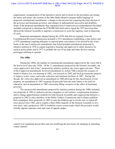requirements; reorganization of the legislative article and revisions to the procedures governing the house and senate; the creation of the Ohio Ballot Board to prepare ballot language of proposed constitutional amendments; a change to the election law requiring the joint election of the governor and lieutenant governor; and changes to gubernatorial succession and disability. Some of the proposed amendments that originated from Commission recommendations but failed included a proposal to eliminate the \$750,000 debt limit and to repeal the 1875 provision that allowed the General Assembly to appoint a commission to assist the supreme court in disposing of cases.

Important amendments adopted during the 1970s that did not originate from the Constitutional Revision Commission included a 1973 amendment establishing a state lottery and a 1975 amendment requiring delegates to national party conventions to be elected by the voters. Some of the non-Commission amendments that failed included amendments proposed by initiative petition in 1976 to require legislative hearings and approval of safety measures for nuclear power plants and in 1977 to prohibit the use of leg traps and other devices causing prolonged suffering to animals.

#### **The 1980s**

 $\overline{a}$ 

During the 1980s, the number of constitutional amendments approved by the voters fell to the lowest level since the 1930s. Of the 11 amendments proposed by the General Assembly, the voters approved 6; and of the 7 proposed by initiative petition, the voters approved none. Three of the 6 approved amendments involved amendments to Article VIII to permit the issuance of bonds to finance low cost housing in 1982, coal research in 1985, and local governments projects to improve water, sewer, and waste collection and treatment facilities in 1987. During this decade, the voters also approved an amendment in 1980 allowing for the classification of real property, an amendment in 1987 requiring all proceeds from the state lottery to be used for education, and an amendment in 1989 concerning filling vacancies in the office of lieutenant governor.

The unsuccessful amendments proposed by initiative petition during the 1980s included: two proposals in 1981 to authorize private companies to sell workers' compensation insurance and to change apportionment methods for both General Assembly and congressional districts; a proposal in 1982 to elect members of the Public Utilities Commission and to finance publicly their campaigns; three proposals in 1983 to raise the drinking age to twenty-one, to repeal all taxes passed since 1982, and to require a three-fifths majority of the General Assembly to levy new taxes; and a proposal in 1987 to establish a merit system under which the governor would initially appoint supreme court and court of appeals judges.

control over regulating prison labor and one modifying the provisions for adopting or amending county charters.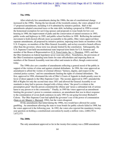## Case: 2:22-cv-00773-ALM-ART-BJB Doc #: 180-1 Filed: 04/11/22 Page: 65 of 72 PAGEID #: 5871

#### **The 1990s**

After relatively few amendments during the 1980s, the rate of constitutional change increased in the 1990s. During the last decade of the twentieth century, the voters adopted 14 of 17 proposed amendments, including 4 of 6 submitted by initiative petition. Half of the amendments adopted concerned taxes or the state debt, including a proposal in 1990 to extend the homestead exemption for surviving spouses and proposals to issue bonds for low cost housing in 1990, the improvement of parks and the conservation of natural resources in 1993, public works and highways in 1995, and public school facilities in 1999. Reflecting the national movement to hold elected officials more accountable to the public, Ohio voters approved three separate amendments, all proposed by initiative petition, imposing term limits on members of the U.S. Congress, on members of the Ohio General Assembly, and on key executive branch officers other than the governor, whose term was already limited by the constitution. Subsequently, the U.S. Supreme Court held unconstitutional state-imposed term limits for U.S. Senators and member of the House of Representatives (U.S. Term Limits, Inc. v. Thornton, 1995), and thus the Ohio limitation on federal legislators never went into effect. Nonetheless, the provisions of the Ohio Constitution expanding term limits for state officeholders and imposing them on members of the General Assembly went into effect and remain in effect, though controversial, today.

The 1990s also saw a number of amendments reflecting a general mood of the public in support of the victims of crime and against criminal defendants. In 1994, the voter approved an amendment to afford the victims of criminal offenses "fairness, dignity, and respect in the criminal justice system," and two amendments limiting the rights of criminal defendants. The first, approved in 1994, eliminated the role of Ohio's Courts of Appeals in death penalty cases in favor of direct appeals to the Ohio Supreme Court. The second, approved in 1997, amended the Bill of Rights for only the second time since 1851 and allowed the General Assembly to set standards to deny bail to persons charged with a felony where "the proof is evident or the presumption great" that the person committed the offense and "poses a substantial risk of serious harm to any person or to the community." Finally, in 1995 the voters approved an amendment limiting the governor's power to commute sentences, an amendment that was in direct response to the commutation of seven death sentences in early 1991 by out-going Governor Richard F. Celeste. The Ohio Supreme Court had upheld the governor's use of the power of commutation (State ex rel. Maurer v. Sheward, 1994), but the voters disagreed.

Of the amendments that failed during the 1990s, two would have allowed for casino gambling. An amendment allowing the state to issue bonds for public schools failed in 1998, but the voters approved it the following year. In 1992, the voters also rejected the mandatory twentyyear question on holding a constitutional convention by nearly a million votes, 2,660,270 to 1,672,373.

#### **The 2000s**

The only amendment approved so far in the twenty-first century was a 2000 amendment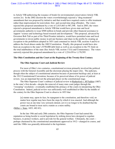to Article VIII authorizing the issuance of bonds for environmental conservation (Article VIII, section 2o). In the 2002 election the voters overwhelmingly rejected a "drug treatment" amendment that was proposed by initiative and that would have required courts to offer treatment rather than imprisonment for nonviolent, first- and second-time drug offenders. The voters rejected this proposed amendment by a vote of 2,015,663 to 987,398. And in 2003, the voters rejected a proposed amendment to Article VIII that would have given state and local governments authority to issue \$500 million in bonds and provide other financial assistance to support "science and technology based research and development." This proposal, advanced by Governor Bob Taft as part of his Third Frontier initiative, would have permitted state and local governments to invest public money in private business and share in the profits by creating an exception to the prohibition adopted in 1851 (and contained in Article VIII, sections 4 and 6) to address the fiscal abuses under the 1802 Constitution. Finally, this proposal would have also been an exception to the state's \$750,000 debt limit as well as an exception to the 5% limit on the total indebtedness of the state (See Article VIII, section 17(A) and Commentary). The voters narrowly rejected this proposed amendment by a vote of 1,224,439 to 1,178,595.

## **The Ohio Constitution and the Court at the Beginning of the Twenty-first Century**

### **The Ohio Supreme Court and Judicial Review**

For most of Ohio's two centuries, constitutional revision primarily involved the political process with the General Assembly and the electorate playing the major roles. The judiciary, though often the subject of constitutional attention because of persistent backlogs and, at least at the 1912 Constitutional Convention, because of its perceived abuse of its power of judicial review, was an important but not the principal player on the constitutional stage.

The Ohio Supreme Court's embrace of judicial review in Rutherford v. M'Fadden (1807) in the state's first decade—despite the removal of many state court judges through the "sweeping" resolution—eventually established the primacy of the courts in interpreting the Ohio Constitution. Indeed, judicial review was sufficiently well established in Ohio by the middle of the century for the Ohio Supreme Court to observe in 1853 that

[a] statute may, upon its face, be repugnant to the constitution, and therefore void, no matter how regular may have been the steps by which it was enacted. And although the power was at one time very seriously denied, yet it is no longer to be doubted that the courts are bound to treat such a statute as a mere nullity.

## (Miller v. State, 1853, 482-83).

In the late 19th and early 20th centuries, the Ohio Supreme Court had earned the reputation as being hostile to social legislation by striking down laws designed to regulate business, to protect workers, and to provide for the general welfare. Ultimately, the court perhaps chastened by the constitutional amendments approved in 1912—changed its course, and until the 1980s was generally deferential to the legislature.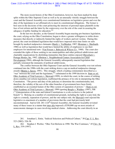The more recent history of the Ohio Constitution, however, has been marked by deep splits within the Ohio Supreme Court as well as by an unusually vitriolic struggle between the court and the General Assembly over constitutional limitations on legislative power and over the duty of the legislature to act affirmatively to meet its constitutional obligations. The former is best seen in the decisions of the court protecting the interests of personal injury plaintiffs in the face of tort reform and the latter by the controversy over the role of the court in assuring the adequacy of public funding for education.<sup>261</sup>

In the last two decades, as the General Assembly began enacting pro-business legislation, the court, relying on the Ohio Constitution, began to show a greater willingness to strike down measures that directly or indirectly limited the rights of workers and tort victims. During this period, the court invalidated legislation that would have imposed strict time limits on suits brought by medical malpractice claimants (Hardy v. VerMeulen, 1987; Mominee v. Sherbarth, 1986) as well as legislation that would have limited the ability of employees to sue their employers for intentional torts (Van Fossen v. Babcock & Wilcox Co., 1988). The court also extended the rights of those seeking to sue municipalities and other political subdivisions and charitable organizations by abolishing immunities that these entities enjoyed (Haverlack v. Portage Homes, Inc. 1982; Albritton v. Neighborhood Centers Association for Child Development 1984), although the General Assembly subsequently enacted legislation that partially reinstated the immunity of political subdivisions.

The conflict between the Ohio Supreme Court and the General Assembly over tort reform continued into the 1990s with the court striking down a cap on medical malpractice damage awards (Morris v. Savoy, 1991). This struggle, which a leading commentator described as a "war" between the court and the legislature,  $^{262}$  culminated in the 1999 decision in State ex rel. Ohio Academy of Trial Lawyers v. Sheward (1999), in which the court, in the course of striking down omnibus tort reform legislation, reaffirmed the primacy of its role in interpreting the Ohio Constitution. "The power and duty of the judiciary to determine the constitutionality and, therefore, the validity of the acts of the other branches of government have been firmly established as an essential feature of the Ohio system of separation of powers." (State ex rel. Ohio Academy of Trial Lawyers v. Sheward, 1999 (quoting Beagle v. Walden, (1997), 508 ("'[i]nterpretation of the state and federal Constitutions is a role exclusive to the judicial branch'")). Relying on a number of constitutional grounds, including the right to a jury trial, the right to a remedy, separation of powers, and the one-subject rule, the Sheward court rejected the legislative re-enactment of a number of provisions that the court had previously held unconstitutional. And in S.B. 281 ( $124<sup>th</sup>$  General Assembly), the General Assembly revisited many of these issues in a statute that inter alia imposed a \$350,000 cap on most awards of noneconomic damages in cases involving medical claims. Addressing the court directly in an

<sup>261.</sup> Jonathan L. Entin, "Judicial Selection and Political Culture," 30 Cap. U. L. Rev. 523 (2002): 526-38.

<sup>262.</sup> Stephen J. Werber, "Ohio Tort Reform in 1998: The War Continues," 45 Clev. St. L. Rev. 539 (1997).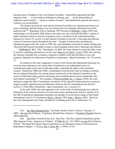unusual series of findings of fact, the General Assembly "respectfully request[ed] the Ohio Supreme Court . . . to reconsider its holdings on damage caps . . . on the deductibility of collateral source benefits . . . [and] on statutes of repose" and identified the specific decisions it wished to see reconsidered.

The dispute between the court and the General Assembly over education has been even more contentious than the dispute over tort reform and even included a threatened use of the judicial recall.<sup>263</sup> Beginning with its landmark 1997 decision in DeRolph v. State (1997) and culminating in its December 2002 ruling in the same case, the court held that Ohio's system of public education relied too heavily on property taxes in violation of the constitutional duty imposed by Article VI, section 2 on the General Assembly to provide "a thorough and efficient system of common schools throughout the state." Despite an intervening constitutional amendment approved by the voters in 1999, the court ultimately reinstated its earlier holding and "direct[ed] the General Assembly to enact a school-funding scheme that is thorough and efficient . . . ." (DeRolph IV, Ibid., 530). Nonetheless, in 2003, the court refused to permit the Ohio courts to exercise continuing jurisdiction over the case (State ex rel. State v. Lewis, 2003), thus leaving the General Assembly free to fashion a legislative solution with only the threat of new and expensive litigation as a deterrent to legislative recalcitrance. (See Commentary, Art. VI, section 2).

 In contrast to the court's approach to issues of tort reform and educational financing, the court has been reluctant to rely on the Ohio Constitution as an independent source of constitutional rights in the area of individual rights, especially the rights of the criminally accused. During the 1980s and 1990s, commentators criticized the court for failing to embrace the new judicial federalism, for relying almost exclusively on the federal Constitution as the source of individual rights, and for construing state constitutional provisions identically with their federal counterparts.<sup>264</sup> For example, in Eastwood Mall, Inc. v. Slanco (1994), the court declined to apply the Ohio Constitution's protection of free speech to demonstrations on private property despite significant textual differences between the First Amendment and Article I, section 11 of the Ohio Constitution. (See Commentary, Art. I, section 11).

 In the early 1990s, the court appeared to be on the brink of embracing the new judicial federalism in the controversial area of search and seizure and had given Article I, section 14 of the Ohio Constitution independent meaning even though it was the mirror image of the Fourth Amendment to the U.S. Constitution (State v. Storch, 1993; State v. Brown, 1992). However, the court subsequently drew back, declared its overriding goal to be to "harmonize" its

<sup>263.</sup> See The Cincinnati Post, "Lawmaker Seeks to Oust 3 Justices" (January 17, 2003). See also David Mayer, "Legislature Should Oust 4 Justices," Columbus Dispatch (June 6, 2001)(editorial).

<sup>264.</sup> See Mary Cornelia Porter & G. Alan Tarr, "The New Judicial Federalism and the Ohio Supreme Court: Anatomy of a Failure," 45 Ohio St. L.J. 143 (1984); see also Kevin Francis O'Neill, "The Road Not Taken: State Constitutions as an Alternative Source of Protection for Reproductive Rights," 11 N.Y.L. Sch. J. Hum. Rts. 1 (1993): 35-38.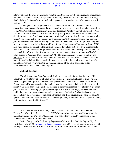interpretation of the Ohio Constitution with the U.S. Supreme Court's interpretation of analogous provisions (State v. Murrell, 2002; State v. Robinette, 1997), and reversed a number of rulings that had given the Ohio Constitutional an independent construction. (See Commentary, Art. I, section 14). $^{265}$ 

 Although the Ohio Supreme Court has tended to follow U.S. Supreme Court in construing analogous provisions of the state constitution, the court has at times given provisions of the Ohio Constitution independent meaning. Indeed, in Arnold v. City of Cleveland, (1993: 42), the court described the U.S. Constitution as "provid[ing] a floor below which state court decisions may not fall" and recognized that "the Ohio Constitution is a document of independent force." For example, the court has explicitly rejected the U.S. Supreme Court's free exercise jurisprudence and held that the analogous provision of the Ohio Constitution protects religious freedom even against religiously-neutral laws of general application (Humphrey v. Lane, 2000). Likewise, despite the retreat on the rights of criminal defendants to be free from unreasonable search and seizure, the court has protected workers from warrantless and suspicionless searches as a condition of the receipt of workers' compensation benefits (State ex rel Ohio AFL-CIO v. Ohio Bureau of Workers' Compensation, 2002). Nonetheless, cases such as Humphrey and AFL-CIO appear to be the exceptions rather than the rule, and the court has tended to construe provisions of the Bill of Rights to afford no greater protection than analogous provisions of the federal constitution even where the language and origin of the Ohio provisions differ significantly from their federal counterparts.

## **Judicial Selection**

 $\overline{a}$ 

The Ohio Supreme Court's expanded role in controversial issues involving the Ohio Constitution, its interpretations of Ohio law in such non-constitutional areas as employment, insurance, personal injury, and workers' compensation law, and its repeated conflicts with the General Assembly have contributed to an increasingly politicized judicial selection process. In recent years there has been a significant increase in the involvement of special interest groups in judicial elections, including groups representing the interests of attorneys, business, and labor, and in the amount of money spent on judicial campaigns (including funds raised and spent independently by groups engaged in issue advocacy), and these developments have led some to question whether Ohio's commitment to an elected judiciary is consistent with the goal of having an impartial and qualified judiciary.<sup>266</sup>

<sup>265.</sup> See Robert F. Williams, "The New Judicial Federalism in Ohio: The First Decade," 51 Clev. St. L. Rev.  $\qquad \qquad$  (2003-04) (describing the stages of the new judicial federalism, describing Ohio as a "latecomer," and noting the "backlash" in response to the expansion of rights for criminal defendants.

<sup>266.</sup> See generally Preliminary Report—A Call to Action, Judicial Impartiality: The Next Steps (May 2003), http://www.thenextsteps.org (May 2003) (report on a forum convened by the Ray C. Bliss Institute of Applied Politics, the John Glenn Institute for Public Service and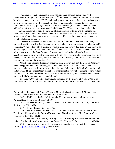The judicial selection process in Ohio has long been partisan, despite the 1912 amendment limiting the role of political parties,  $267$  and races for the Ohio Supreme Court have been "ferociously competitive."<sup>268</sup> Though having a partisan overlay, the recent conflicts appear to be less about partisan politics than about ideology and the role of the courts. As one commentator observed, "[I]f legal doctrine is politically salient, those who care about the law will seek to influence the composition of the judiciary.<sup>"269</sup> What had not characterized the process, until recently, has been the infusion of large amounts of funds into the process, the emergence of well-funded independent election committees willing to spend large sums free from the spending and other constraints placed on candidates, and the increasingly negative tone of judicial election campaigns.

The sharply contested supreme court election of 2000, which was characterized by unprecedented fund-raising, lavish spending by issue advocacy organizations, and a bare-knuckle campaign,<sup>270</sup> was followed by a judicial election in 2002 that involved an even greater amount of fundraising by candidates and their supporters.<sup>271</sup> The prospect for November 2004, when four of the seven seats on the Ohio Supreme Court are on the ballot (but with only three contested races), promises to be more of the same despite the efforts of reformers to encourage a more civil debate, to limit the role of money in the judicial selection process, and to revisit the issue of the current system of judicial selection.<sup>272</sup>

Ohio had an appointed judiciary under the 1802 Constitution, but the General Assembly made the appointments. In approving the 1851 Constitution, Ohio voters embraced an elected judiciary, and they rejected proposals to reduce the role of elections in judicial selection in 1938 and in 1987. There remains today a great deal of sentiment in favor of continuing to have judges elected, and those who propose to revisit this issue and limit the right of the electorate to select judges will likely continue to face an uphill battle.

In January 2004, an ad hoc organization convened by the League of Women Voters of Ohio, the Ohio State Bar Association, Ohio Supreme Court Chief Justice Thomas J. Moyer, and

Public Policy, the League of Women Voters of Ohio, Chief Justice Thomas J. Moyer of the Supreme Court of Ohio, and the Ohio State Bar Association).

267. Kathleen L. Barber, "Ohio Judicial Elections—Nonpartisan Premises with Partisan Results," 32 Ohio St. L. J. 762 (1971).

268. Michael Solimine, "The False Promise of Judicial Elections in Ohio," 30 Cap. U .L. Rev. 559, 561 (2002).

269. Entin, "Judicial Selection," 525.

 $\overline{a}$ 

270. See Kara Baker, "Is Justice for Sale in Ohio? An Examination of Ohio Judicial Elections and Suggestions for Reform Focusing onthe2000 Race for the Ohio Supreme Court," 35 Akron L. Rev. 159 (2001)

271. See James T. O'Reilly, "Writing Checks or Righting Wrongs: Election Funding and the Tort Decisions of the Ohio Supreme Court," 51 Clev. St. L. Rev. \_\_\_, \_\_\_\_ (2003-04).

272. See generally Progress Report, Judicial Impartiality: The Next Steps (January 2004), http://www.thenextsteps.org (January 2004).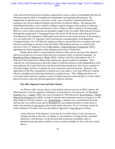some university-based good government organizations issued a report recommending the that the following steps be taken to strengthen the independent and impartial state judiciary: the lengthening of judicial terms, an increase in the "years of practice" judicial qualification, mandatory pre-election judicial training, and increases in judicial salaries. Recognizing the unlikelihood that Ohio voters would be willing to support changes in the method of selecting judges, the organization focused instead on ways to improve Ohio's system of electing judges. However, none of these proposals are intended to apply to the November 2004 judicial elections, although the organization's Campaign Finance Disclosure Work Group, which had deferred consideration of the regulation of third-party issue advocacy advertising because of the pendency of a case before the U.S. Supreme Court involving the constitutionality of the Bipartisan Campaign Finance Act, will likely be making an effort to amend Ohio law to regulate such issue advocacy advertising in advance of the November 2004 judicial elections as a result of the decision of the U.S. Supreme Court in McConnell v. Federal Election Commission (2003), upholding the federal regulation of the analogous provisions of federal law

Despite these efforts to reform judicial selection, Ohio may be moving in the opposite direction towards an even more robust and more expensive series of judicial campaigns. In Republican Party of Minnesota v. White (2002), relying on the First Amendment, the U.S. Supreme Court struck down ethical rules limiting the speech of judicial candidates. Over concerns by a dissenting justice about the impact of judicial elections on the independence of the state judiciary, the Court effectively took the position that jurisdictions that wish to continue to elect their judges will have to tolerate far more contentious judicial elections. Moreover, the application of the First Amendment to judicial races may make it even more difficult to impose effective spending and fundraising limitations on judicial races. Thus, White may lead to an even more robust and more expensive series of judicial elections and ironically to a more widely perceived need to alter the electoral approach to judicial selection.

## **The Ohio Supreme Court and Stare Decisis**

 As efforts to alter various aspects of the judicial selection process in Ohio continue, the Ohio Supreme Court has signaled a willingness to reexamine its own decisions. In Westfield Insurance Co. v. Galatis (2003), the court overturned its 1999 decision in Scott-Pontzer v. Liberty Mutual fire Insurance Co (2004), in which it had provided uninsured motorist coverage to an offduty employee driving a spouse's car. Scott-Pontzer, a statutory not a constitutional decision, had become very controversial, and in Westfield the court addressed when it would refuse to follow the doctrine of stare decisis and overrule earlier decisions. In a 4-3 decision written by Justice Maureen O'Connor, the court described its approach to stare decisis as follows:

A prior decision of the Supreme Court may be overruled where (1) the decision was wrongly decided at that time, or changes in circumstances no longer justify continued adherence to the decision, (2) the decision defies practical workability, and (3) abandoning the precedent would not create an undue hardship for those who have relied upon it